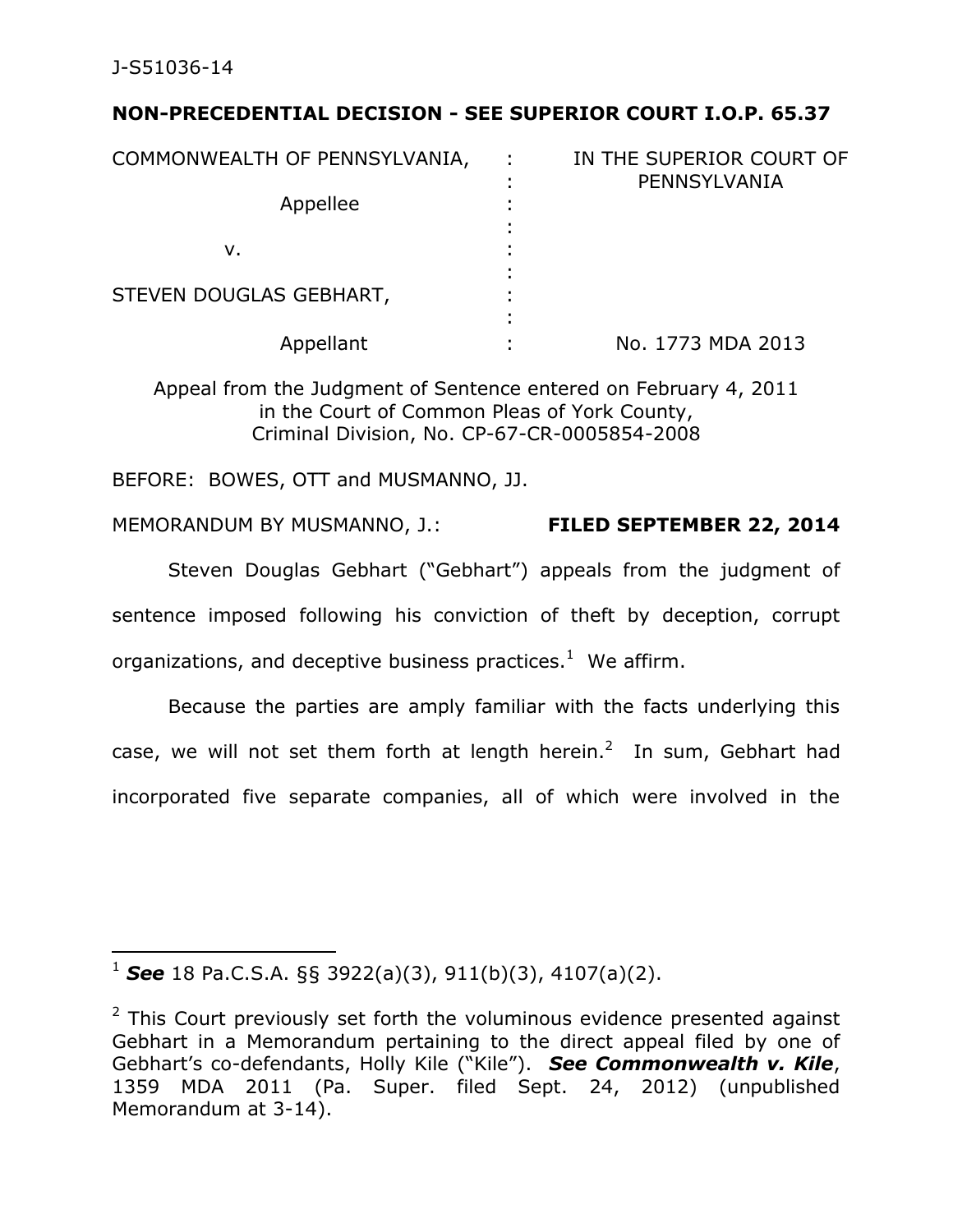J-S51036-14

 $\overline{a}$ 

# **NON-PRECEDENTIAL DECISION - SEE SUPERIOR COURT I.O.P. 65.37**

| COMMONWEALTH OF PENNSYLVANIA, | ÷ | IN THE SUPERIOR COURT OF<br>PENNSYLVANIA |  |  |  |
|-------------------------------|---|------------------------------------------|--|--|--|
| Appellee                      |   |                                          |  |  |  |
| ν.                            |   |                                          |  |  |  |
| STEVEN DOUGLAS GEBHART,       |   |                                          |  |  |  |
| Appellant                     |   | No. 1773 MDA 2013                        |  |  |  |

Appeal from the Judgment of Sentence entered on February 4, 2011 in the Court of Common Pleas of York County, Criminal Division, No. CP-67-CR-0005854-2008

BEFORE: BOWES, OTT and MUSMANNO, JJ.

MEMORANDUM BY MUSMANNO, J.: **FILED SEPTEMBER 22, 2014** 

Steven Douglas Gebhart ("Gebhart") appeals from the judgment of sentence imposed following his conviction of theft by deception, corrupt organizations, and deceptive business practices. $^{1}$  We affirm.

 Because the parties are amply familiar with the facts underlying this case, we will not set them forth at length herein.<sup>2</sup> In sum, Gebhart had incorporated five separate companies, all of which were involved in the

<sup>1</sup> *See* 18 Pa.C.S.A. §§ 3922(a)(3), 911(b)(3), 4107(a)(2).

 $2$  This Court previously set forth the voluminous evidence presented against Gebhart in a Memorandum pertaining to the direct appeal filed by one of Gebhart's co-defendants, Holly Kile ("Kile"). *See Commonwealth v. Kile*, 1359 MDA 2011 (Pa. Super. filed Sept. 24, 2012) (unpublished Memorandum at 3-14).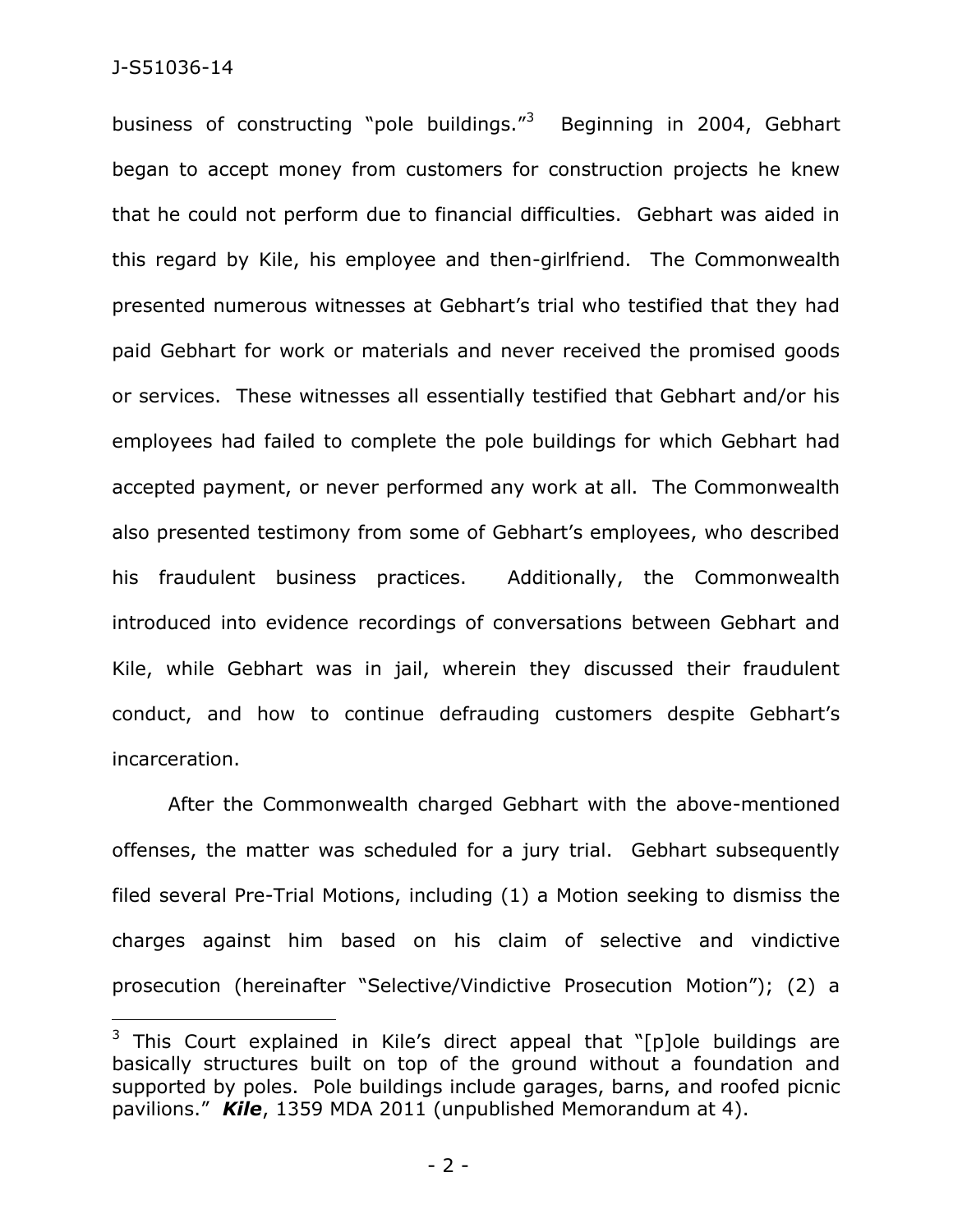$\overline{a}$ 

business of constructing "pole buildings."<sup>3</sup> Beginning in 2004, Gebhart began to accept money from customers for construction projects he knew that he could not perform due to financial difficulties. Gebhart was aided in this regard by Kile, his employee and then-girlfriend. The Commonwealth presented numerous witnesses at Gebhart's trial who testified that they had paid Gebhart for work or materials and never received the promised goods or services. These witnesses all essentially testified that Gebhart and/or his employees had failed to complete the pole buildings for which Gebhart had accepted payment, or never performed any work at all. The Commonwealth also presented testimony from some of Gebhart's employees, who described his fraudulent business practices. Additionally, the Commonwealth introduced into evidence recordings of conversations between Gebhart and Kile, while Gebhart was in jail, wherein they discussed their fraudulent conduct, and how to continue defrauding customers despite Gebhart's incarceration.

After the Commonwealth charged Gebhart with the above-mentioned offenses, the matter was scheduled for a jury trial. Gebhart subsequently filed several Pre-Trial Motions, including (1) a Motion seeking to dismiss the charges against him based on his claim of selective and vindictive prosecution (hereinafter "Selective/Vindictive Prosecution Motion"); (2) a

 $3$  This Court explained in Kile's direct appeal that "[p]ole buildings are basically structures built on top of the ground without a foundation and supported by poles. Pole buildings include garages, barns, and roofed picnic pavilions." *Kile*, 1359 MDA 2011 (unpublished Memorandum at 4).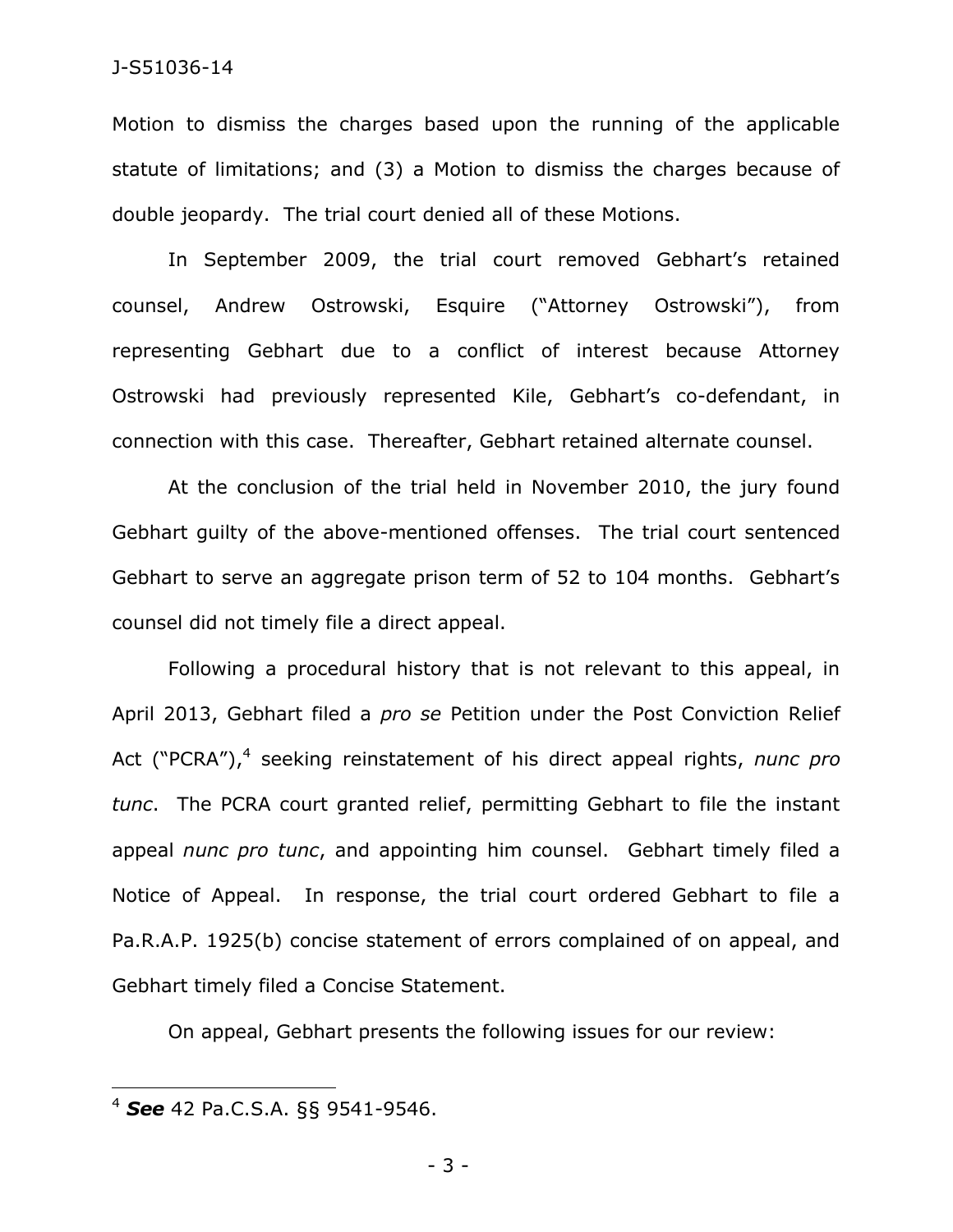Motion to dismiss the charges based upon the running of the applicable statute of limitations; and (3) a Motion to dismiss the charges because of double jeopardy. The trial court denied all of these Motions.

In September 2009, the trial court removed Gebhart's retained counsel, Andrew Ostrowski, Esquire ("Attorney Ostrowski"), from representing Gebhart due to a conflict of interest because Attorney Ostrowski had previously represented Kile, Gebhart's co-defendant, in connection with this case. Thereafter, Gebhart retained alternate counsel.

At the conclusion of the trial held in November 2010, the jury found Gebhart guilty of the above-mentioned offenses. The trial court sentenced Gebhart to serve an aggregate prison term of 52 to 104 months. Gebhart's counsel did not timely file a direct appeal.

Following a procedural history that is not relevant to this appeal, in April 2013, Gebhart filed a *pro se* Petition under the Post Conviction Relief Act ("PCRA"),<sup>4</sup> seeking reinstatement of his direct appeal rights, nunc pro *tunc*. The PCRA court granted relief, permitting Gebhart to file the instant appeal *nunc pro tunc*, and appointing him counsel. Gebhart timely filed a Notice of Appeal. In response, the trial court ordered Gebhart to file a Pa.R.A.P. 1925(b) concise statement of errors complained of on appeal, and Gebhart timely filed a Concise Statement.

On appeal, Gebhart presents the following issues for our review:

 $\overline{a}$ 

<sup>4</sup> *See* 42 Pa.C.S.A. §§ 9541-9546.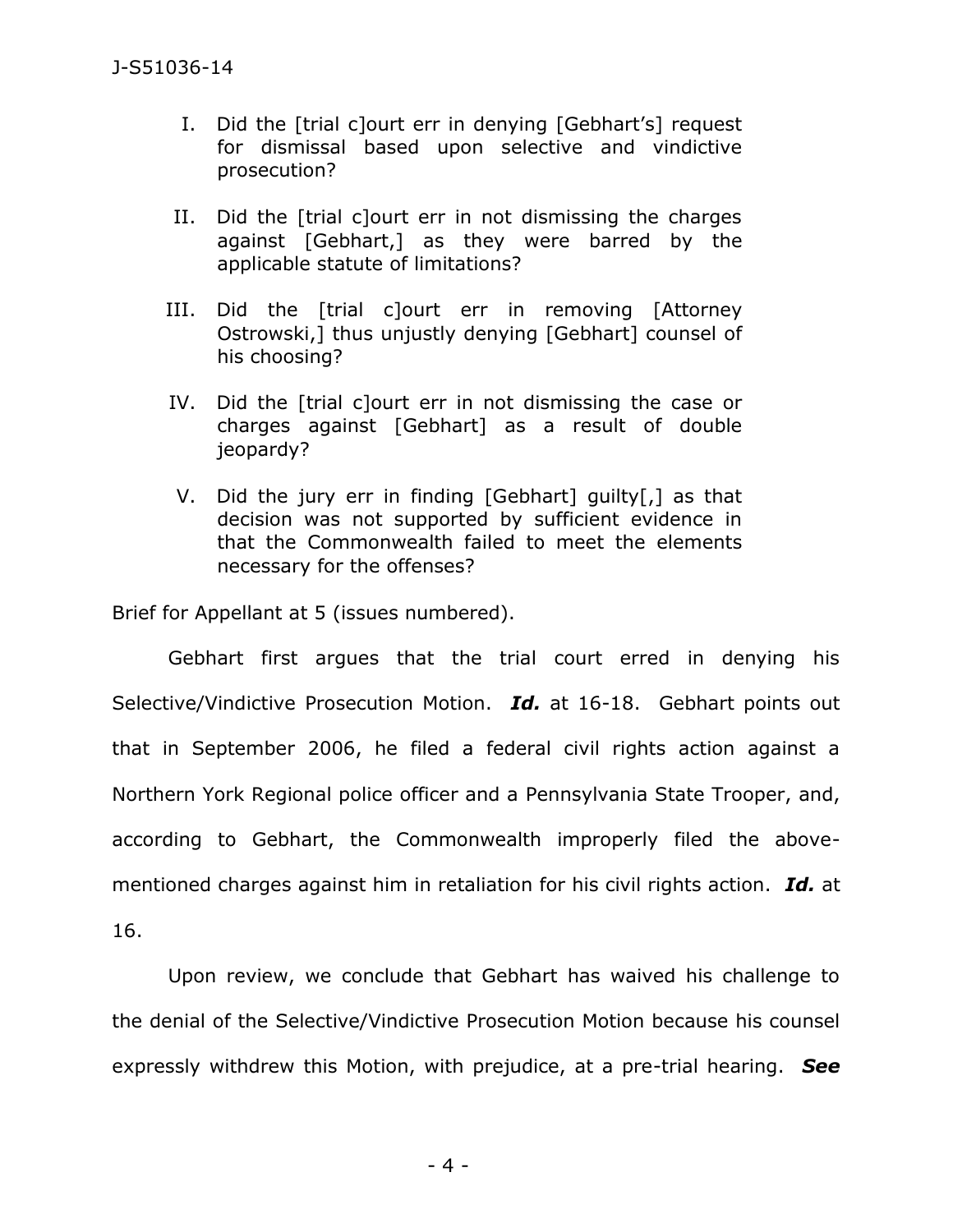- I. Did the [trial c]ourt err in denying [Gebhart's] request for dismissal based upon selective and vindictive prosecution?
- II. Did the [trial c]ourt err in not dismissing the charges against [Gebhart,] as they were barred by the applicable statute of limitations?
- III. Did the [trial c]ourt err in removing [Attorney Ostrowski,] thus unjustly denying [Gebhart] counsel of his choosing?
- IV. Did the [trial c]ourt err in not dismissing the case or charges against [Gebhart] as a result of double jeopardy?
- V. Did the jury err in finding [Gebhart] guilty[,] as that decision was not supported by sufficient evidence in that the Commonwealth failed to meet the elements necessary for the offenses?

Brief for Appellant at 5 (issues numbered).

Gebhart first argues that the trial court erred in denying his Selective/Vindictive Prosecution Motion. *Id.* at 16-18. Gebhart points out that in September 2006, he filed a federal civil rights action against a Northern York Regional police officer and a Pennsylvania State Trooper, and, according to Gebhart, the Commonwealth improperly filed the abovementioned charges against him in retaliation for his civil rights action. *Id.* at 16.

 Upon review, we conclude that Gebhart has waived his challenge to the denial of the Selective/Vindictive Prosecution Motion because his counsel expressly withdrew this Motion, with prejudice, at a pre-trial hearing. *See*

- 4 -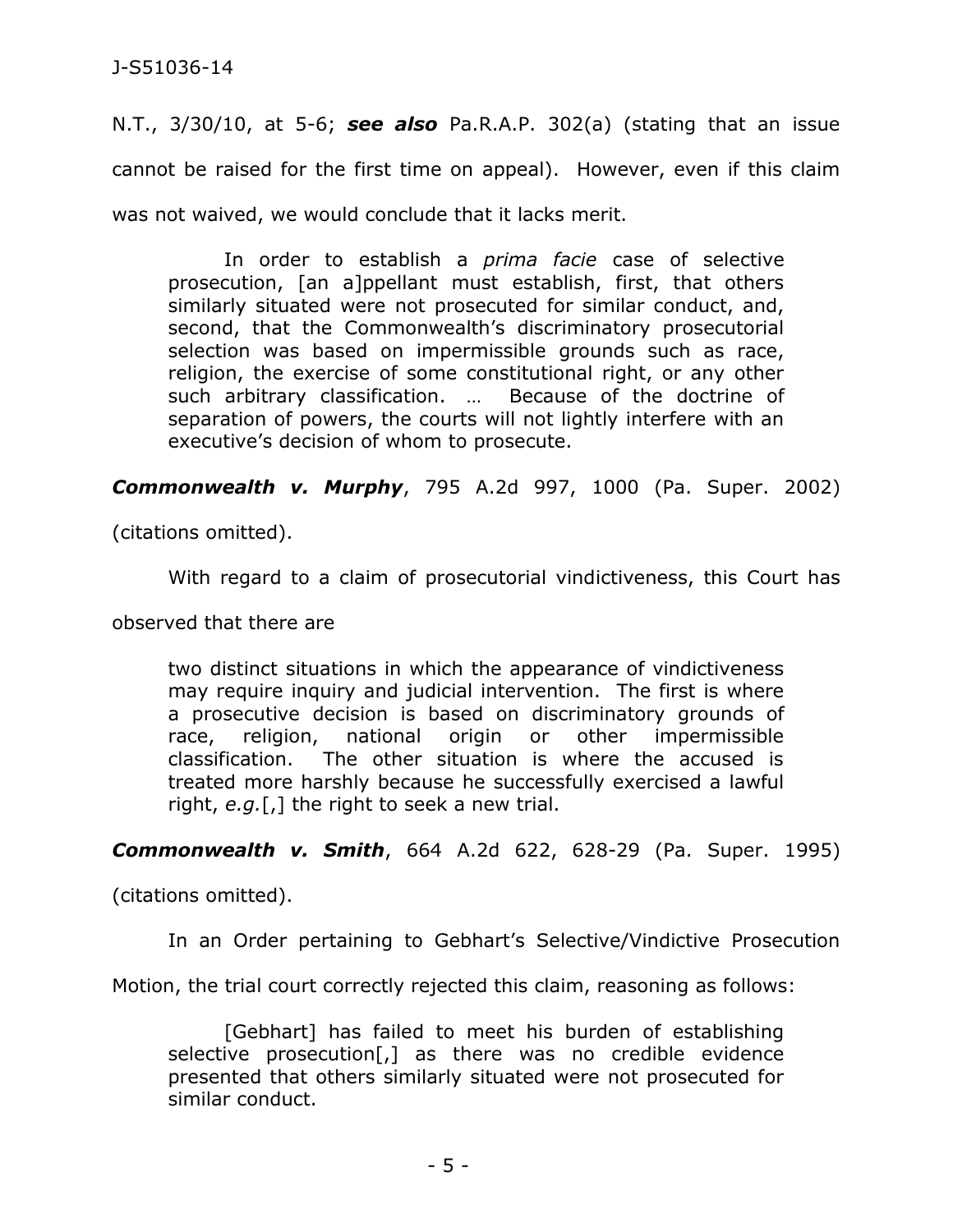N.T., 3/30/10, at 5-6; *see also* Pa.R.A.P. 302(a) (stating that an issue cannot be raised for the first time on appeal). However, even if this claim was not waived, we would conclude that it lacks merit.

In order to establish a *prima facie* case of selective prosecution, [an a]ppellant must establish, first, that others similarly situated were not prosecuted for similar conduct, and, second, that the Commonwealth's discriminatory prosecutorial selection was based on impermissible grounds such as race, religion, the exercise of some constitutional right, or any other such arbitrary classification. … Because of the doctrine of separation of powers, the courts will not lightly interfere with an executive's decision of whom to prosecute.

*Commonwealth v. Murphy*, 795 A.2d 997, 1000 (Pa. Super. 2002)

(citations omitted).

With regard to a claim of prosecutorial vindictiveness, this Court has

observed that there are

two distinct situations in which the appearance of vindictiveness may require inquiry and judicial intervention. The first is where a prosecutive decision is based on discriminatory grounds of race, religion, national origin or other impermissible classification. The other situation is where the accused is treated more harshly because he successfully exercised a lawful right, *e.g.*[,] the right to seek a new trial.

*Commonwealth v. Smith*, 664 A.2d 622, 628-29 (Pa. Super. 1995)

(citations omitted).

In an Order pertaining to Gebhart's Selective/Vindictive Prosecution

Motion, the trial court correctly rejected this claim, reasoning as follows:

[Gebhart] has failed to meet his burden of establishing selective prosecution[,] as there was no credible evidence presented that others similarly situated were not prosecuted for similar conduct.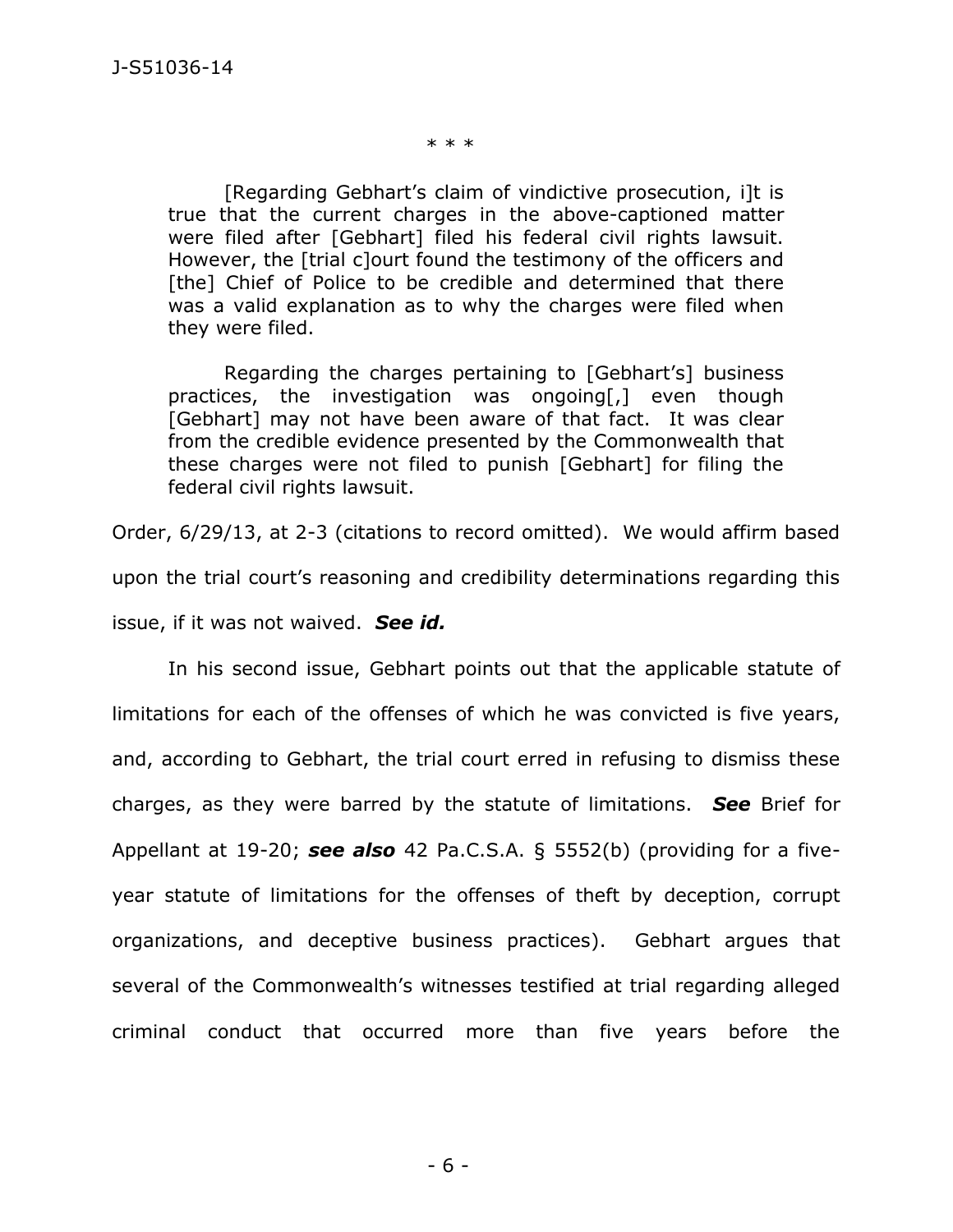\* \* \*

[Regarding Gebhart's claim of vindictive prosecution, i]t is true that the current charges in the above-captioned matter were filed after [Gebhart] filed his federal civil rights lawsuit. However, the [trial c]ourt found the testimony of the officers and [the] Chief of Police to be credible and determined that there was a valid explanation as to why the charges were filed when they were filed.

Regarding the charges pertaining to [Gebhart's] business practices, the investigation was ongoing[,] even though [Gebhart] may not have been aware of that fact. It was clear from the credible evidence presented by the Commonwealth that these charges were not filed to punish [Gebhart] for filing the federal civil rights lawsuit.

Order, 6/29/13, at 2-3 (citations to record omitted). We would affirm based upon the trial court's reasoning and credibility determinations regarding this issue, if it was not waived. *See id.*

 In his second issue, Gebhart points out that the applicable statute of limitations for each of the offenses of which he was convicted is five years, and, according to Gebhart, the trial court erred in refusing to dismiss these charges, as they were barred by the statute of limitations. *See* Brief for Appellant at 19-20; *see also* 42 Pa.C.S.A. § 5552(b) (providing for a fiveyear statute of limitations for the offenses of theft by deception, corrupt organizations, and deceptive business practices). Gebhart argues that several of the Commonwealth's witnesses testified at trial regarding alleged criminal conduct that occurred more than five years before the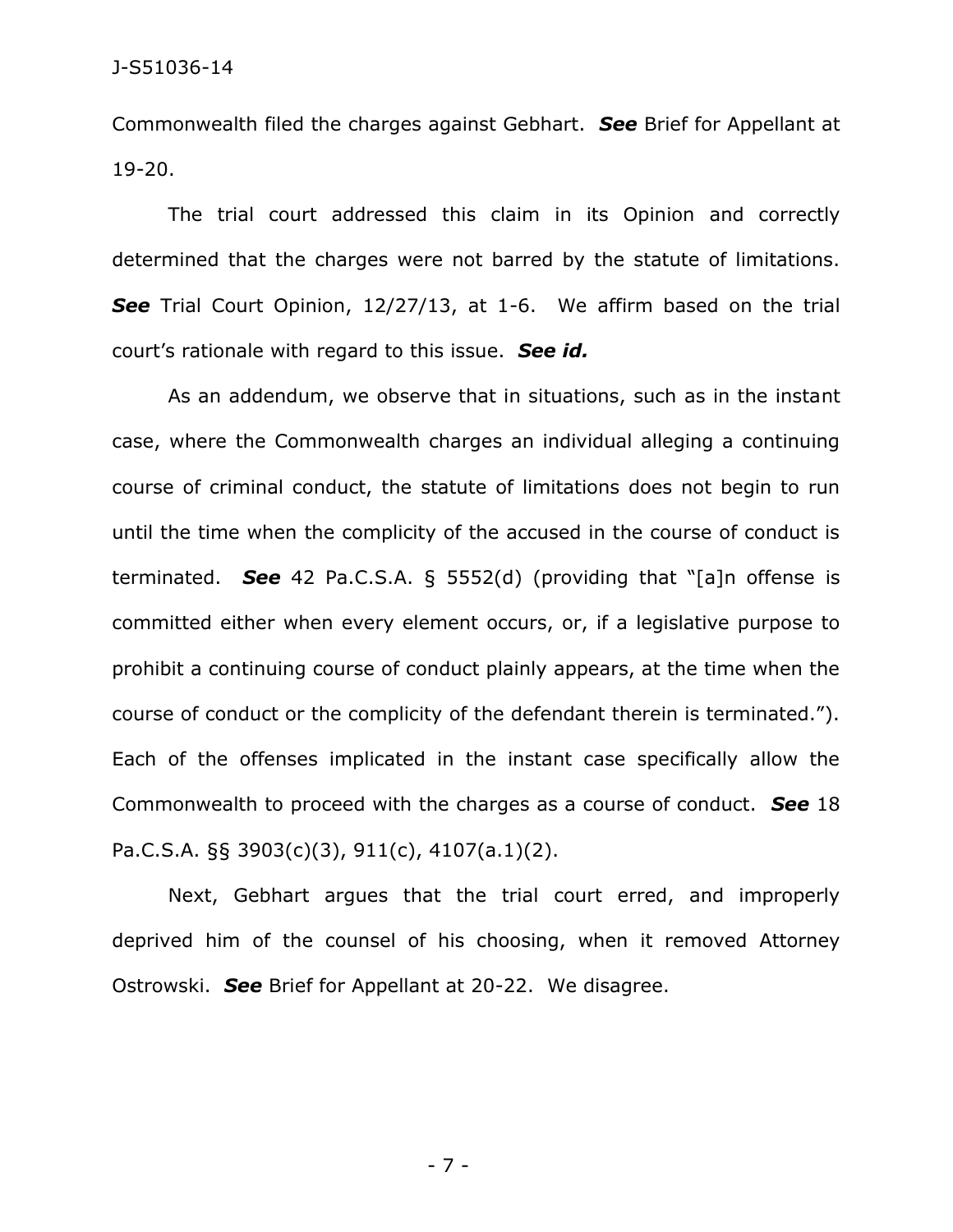Commonwealth filed the charges against Gebhart. *See* Brief for Appellant at 19-20.

 The trial court addressed this claim in its Opinion and correctly determined that the charges were not barred by the statute of limitations. **See** Trial Court Opinion, 12/27/13, at 1-6. We affirm based on the trial court's rationale with regard to this issue. *See id.* 

As an addendum, we observe that in situations, such as in the instant case, where the Commonwealth charges an individual alleging a continuing course of criminal conduct, the statute of limitations does not begin to run until the time when the complicity of the accused in the course of conduct is terminated. *See* 42 Pa.C.S.A. § 5552(d) (providing that "[a]n offense is committed either when every element occurs, or, if a legislative purpose to prohibit a continuing course of conduct plainly appears, at the time when the course of conduct or the complicity of the defendant therein is terminated."). Each of the offenses implicated in the instant case specifically allow the Commonwealth to proceed with the charges as a course of conduct. *See* 18 Pa.C.S.A. §§ 3903(c)(3), 911(c), 4107(a.1)(2).

 Next, Gebhart argues that the trial court erred, and improperly deprived him of the counsel of his choosing, when it removed Attorney Ostrowski. *See* Brief for Appellant at 20-22. We disagree.

- 7 -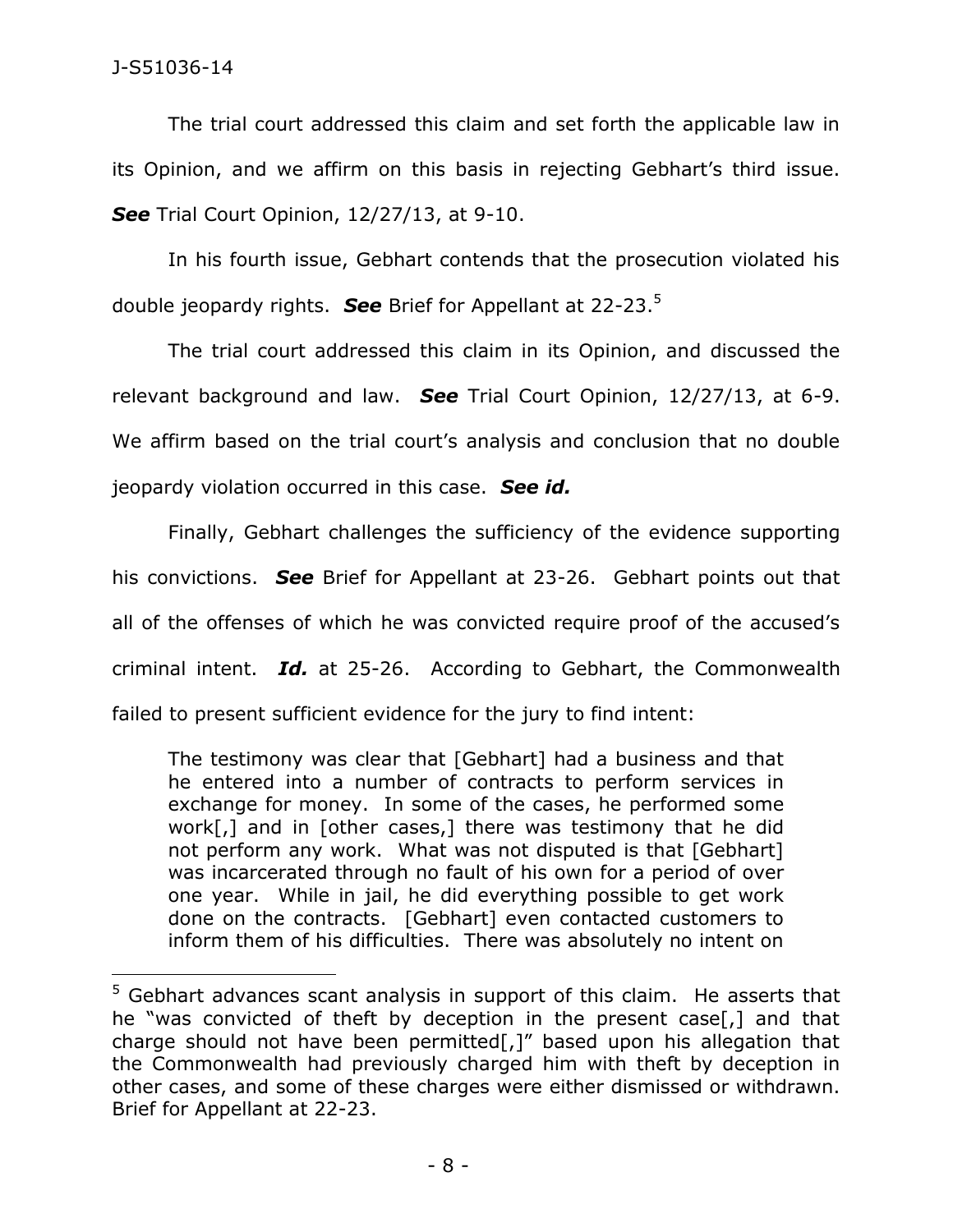$\overline{a}$ 

The trial court addressed this claim and set forth the applicable law in its Opinion, and we affirm on this basis in rejecting Gebhart's third issue. *See* Trial Court Opinion, 12/27/13, at 9-10.

 In his fourth issue, Gebhart contends that the prosecution violated his double jeopardy rights. *See* Brief for Appellant at 22-23.<sup>5</sup>

The trial court addressed this claim in its Opinion, and discussed the relevant background and law. *See* Trial Court Opinion, 12/27/13, at 6-9. We affirm based on the trial court's analysis and conclusion that no double jeopardy violation occurred in this case. *See id.*

 Finally, Gebhart challenges the sufficiency of the evidence supporting his convictions. *See* Brief for Appellant at 23-26. Gebhart points out that all of the offenses of which he was convicted require proof of the accused's criminal intent. *Id.* at 25-26. According to Gebhart, the Commonwealth failed to present sufficient evidence for the jury to find intent:

The testimony was clear that [Gebhart] had a business and that he entered into a number of contracts to perform services in exchange for money. In some of the cases, he performed some work[,] and in [other cases,] there was testimony that he did not perform any work. What was not disputed is that [Gebhart] was incarcerated through no fault of his own for a period of over one year. While in jail, he did everything possible to get work done on the contracts. [Gebhart] even contacted customers to inform them of his difficulties. There was absolutely no intent on

<sup>&</sup>lt;sup>5</sup> Gebhart advances scant analysis in support of this claim. He asserts that he "was convicted of theft by deception in the present case[,] and that charge should not have been permitted[,]" based upon his allegation that the Commonwealth had previously charged him with theft by deception in other cases, and some of these charges were either dismissed or withdrawn. Brief for Appellant at 22-23.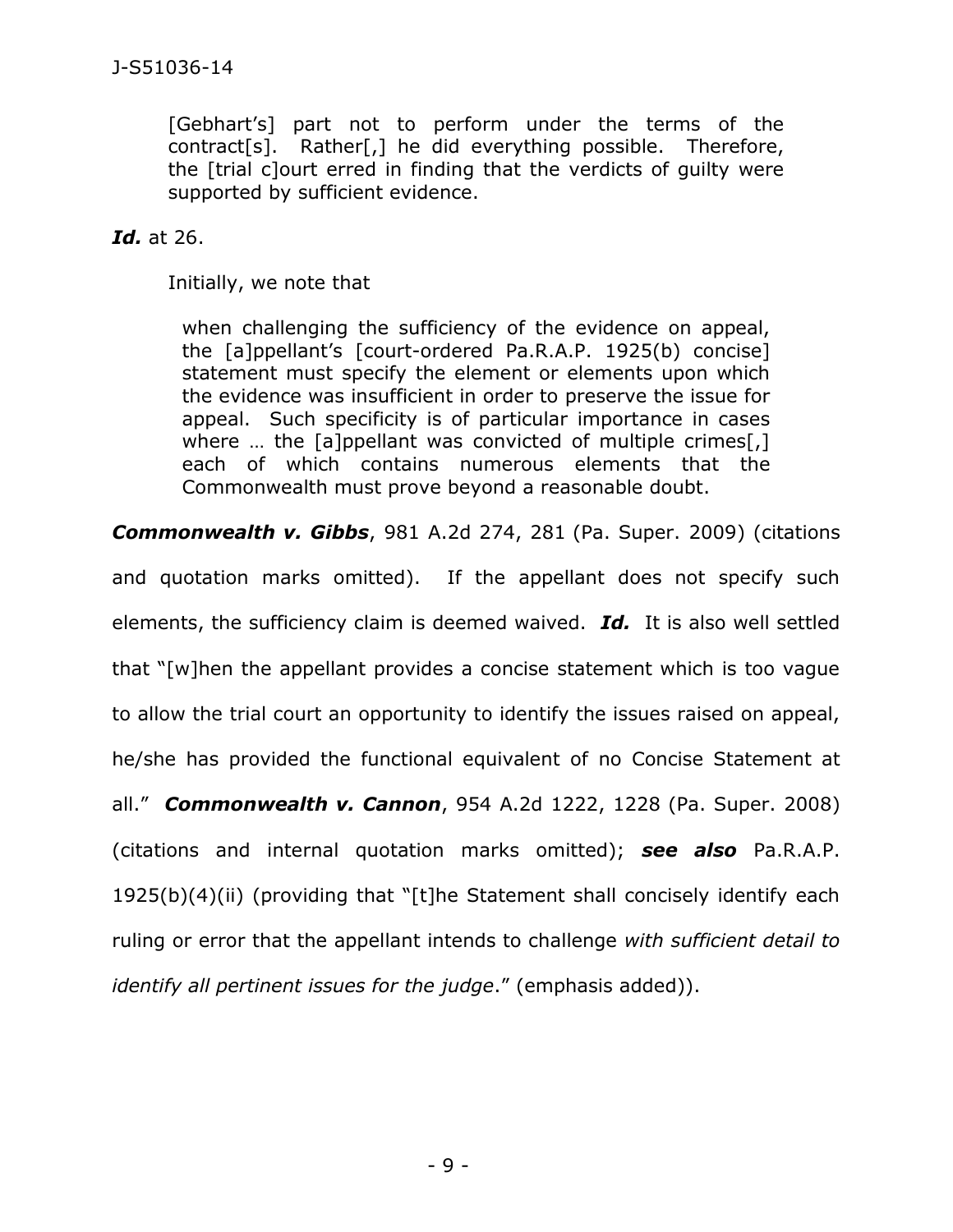[Gebhart's] part not to perform under the terms of the contract[s]. Rather[,] he did everything possible. Therefore, the [trial c]ourt erred in finding that the verdicts of guilty were supported by sufficient evidence.

# *Id.* at 26.

Initially, we note that

when challenging the sufficiency of the evidence on appeal, the [a]ppellant's [court-ordered Pa.R.A.P. 1925(b) concise] statement must specify the element or elements upon which the evidence was insufficient in order to preserve the issue for appeal. Such specificity is of particular importance in cases where ... the [a]ppellant was convicted of multiple crimes[,] each of which contains numerous elements that the Commonwealth must prove beyond a reasonable doubt.

*Commonwealth v. Gibbs*, 981 A.2d 274, 281 (Pa. Super. 2009) (citations

and quotation marks omitted). If the appellant does not specify such elements, the sufficiency claim is deemed waived. *Id.* It is also well settled that "[w]hen the appellant provides a concise statement which is too vague to allow the trial court an opportunity to identify the issues raised on appeal, he/she has provided the functional equivalent of no Concise Statement at all." *Commonwealth v. Cannon*, 954 A.2d 1222, 1228 (Pa. Super. 2008) (citations and internal quotation marks omitted); *see also* Pa.R.A.P. 1925(b)(4)(ii) (providing that "[t]he Statement shall concisely identify each ruling or error that the appellant intends to challenge *with sufficient detail to identify all pertinent issues for the judge*." (emphasis added)).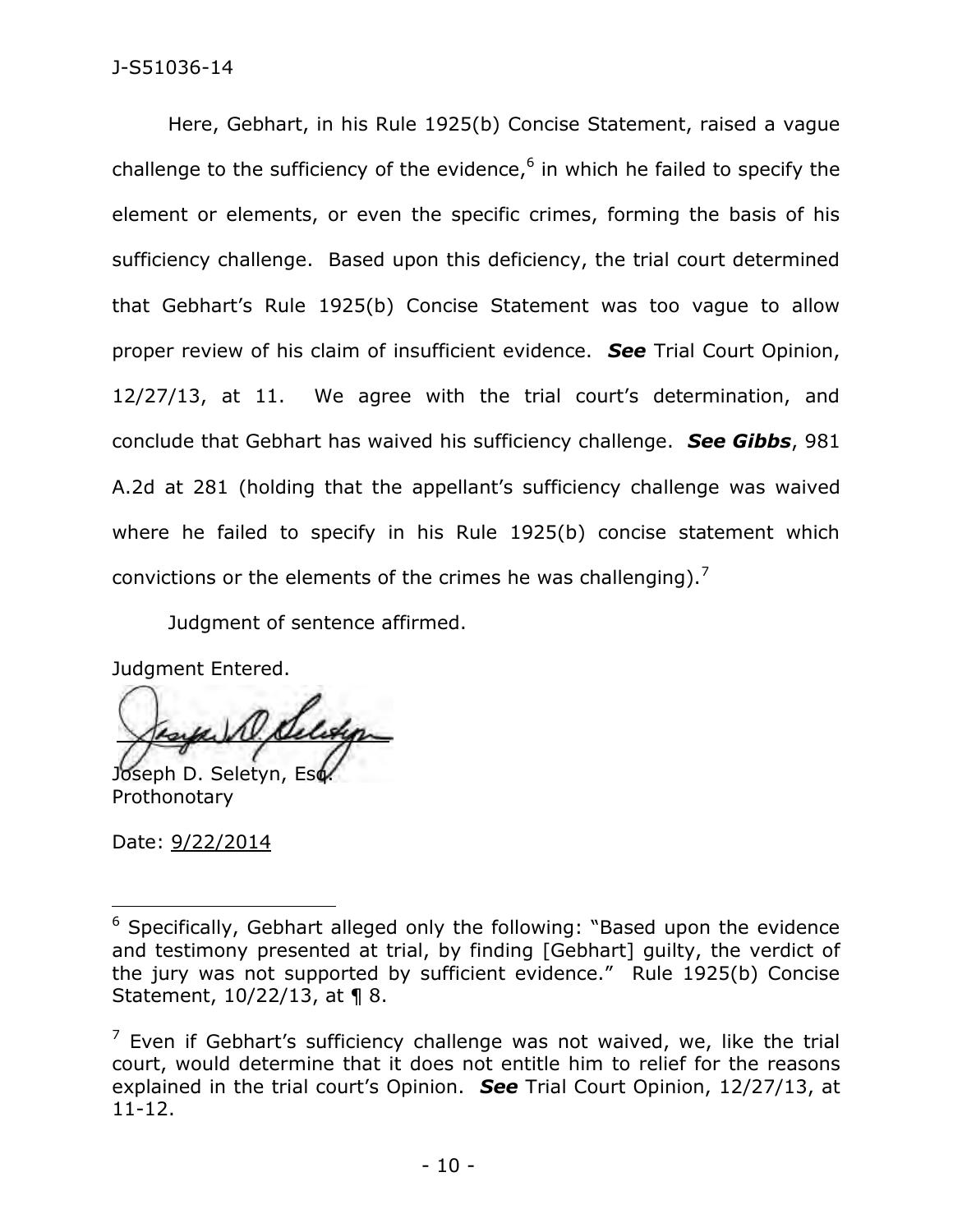## J-S51036-14

Here, Gebhart, in his Rule 1925(b) Concise Statement, raised a vague challenge to the sufficiency of the evidence,<sup>6</sup> in which he failed to specify the element or elements, or even the specific crimes, forming the basis of his sufficiency challenge. Based upon this deficiency, the trial court determined that Gebhart's Rule 1925(b) Concise Statement was too vague to allow proper review of his claim of insufficient evidence. *See* Trial Court Opinion, 12/27/13, at 11. We agree with the trial court's determination, and conclude that Gebhart has waived his sufficiency challenge. *See Gibbs*, 981 A.2d at 281 (holding that the appellant's sufficiency challenge was waived where he failed to specify in his Rule 1925(b) concise statement which convictions or the elements of the crimes he was challenging).<sup>7</sup>

Judgment of sentence affirmed.

Judgment Entered.

Joseph D. Seletyn, Eso Prothonotary

Date: 9/22/2014

 $\overline{a}$ <sup>6</sup> Specifically, Gebhart alleged only the following: "Based upon the evidence and testimony presented at trial, by finding [Gebhart] guilty, the verdict of the jury was not supported by sufficient evidence." Rule 1925(b) Concise Statement, 10/22/13, at ¶ 8.

 $<sup>7</sup>$  Even if Gebhart's sufficiency challenge was not waived, we, like the trial</sup> court, would determine that it does not entitle him to relief for the reasons explained in the trial court's Opinion. *See* Trial Court Opinion, 12/27/13, at 11-12.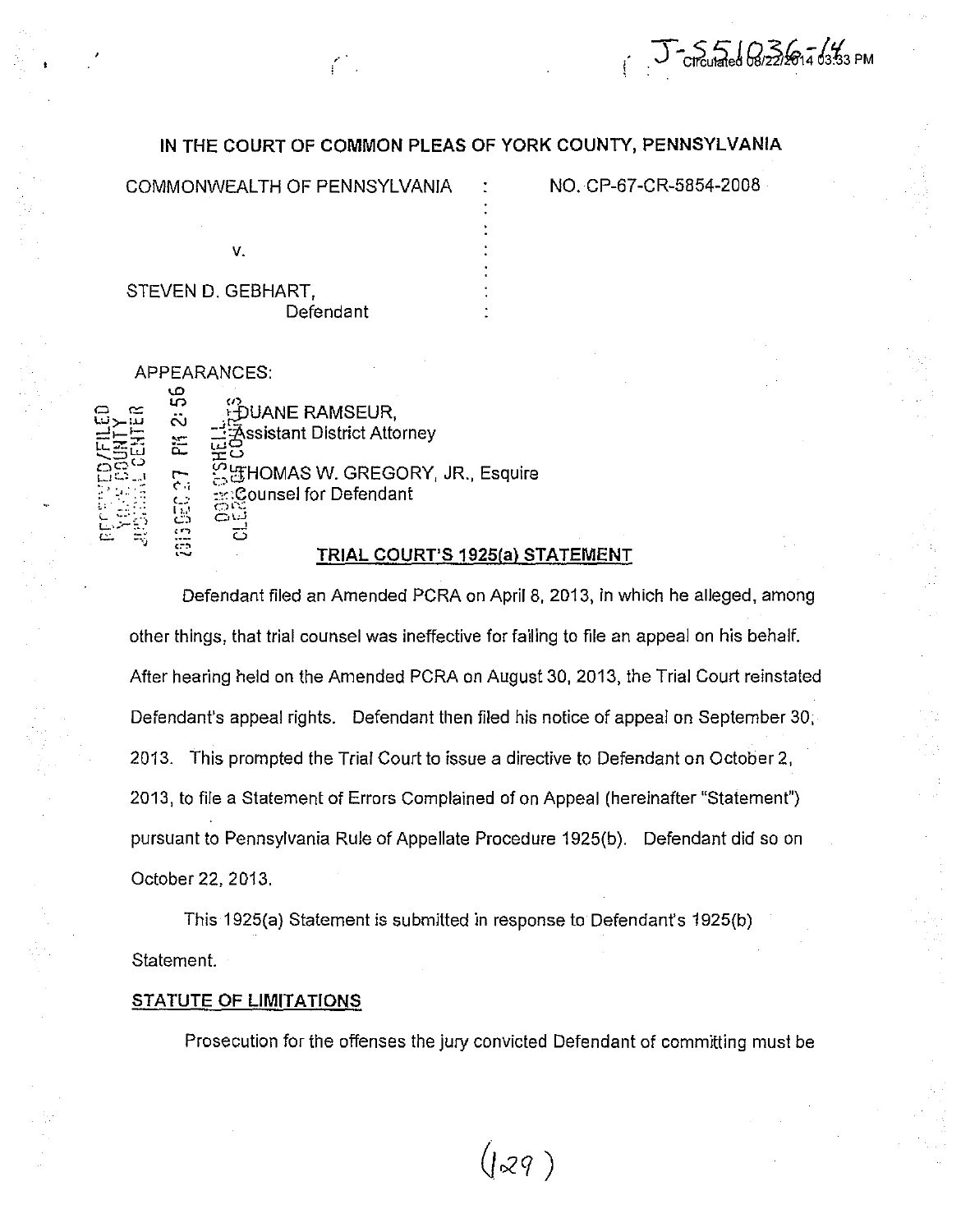## IN THE COURT OF COMMON PLEAS OF YORK COUNTY, PENNSYLVANIA

COMMONWEALTH OF PENNSYLVANIA

NO. CP-67-CR-5854-2008

 $T - 5 = 6$ <br>Circulated 08/22/2014 03:33 PM

| V.                 |  |
|--------------------|--|
| STEVEN D. GEBHART, |  |
| Defendant          |  |

APPEARANCES:

| ≃<br>تنايا | ω<br>ທ<br>.<br>د<br>芒<br>$\mathcal{L}$<br>نے<br>ایرا<br>ר ז | ω<br>DUANE RAMSEUR,<br><b>Assistant District Attorney</b><br>\$ gHOMAS W. GREGORY, JR., Esquire<br>: Counsel for Defendant<br>OE<br>لندت |
|------------|-------------------------------------------------------------|------------------------------------------------------------------------------------------------------------------------------------------|
| C.         | ה                                                           | 75<br>TRIAL COURT'S 1925(a) ST.                                                                                                          |

## ATEMENT

Defendant filed an Amended PCRA on April 8, 2013, in which he alleged, among other things, that trial counsel was ineffective for failing to file an appeal on his behalf. After hearing held on the Amended PCRA on August 30, 2013, the Trial Court reinstated Defendant's appeal rights. Defendant then filed his notice of appeal on September 30, 2013. This prompted the Trial Court to issue a directive to Defendant on October 2, 2013, to file a Statement of Errors Complained of on Appeal (hereinafter "Statement") pursuant to Pennsylvania Rule of Appellate Procedure 1925(b). Defendant did so on October 22, 2013.

This 1925(a) Statement is submitted in response to Defendant's 1925(b) Statement.

## **STATUTE OF LIMITATIONS**

Prosecution for the offenses the jury convicted Defendant of committing must be

 $(129)$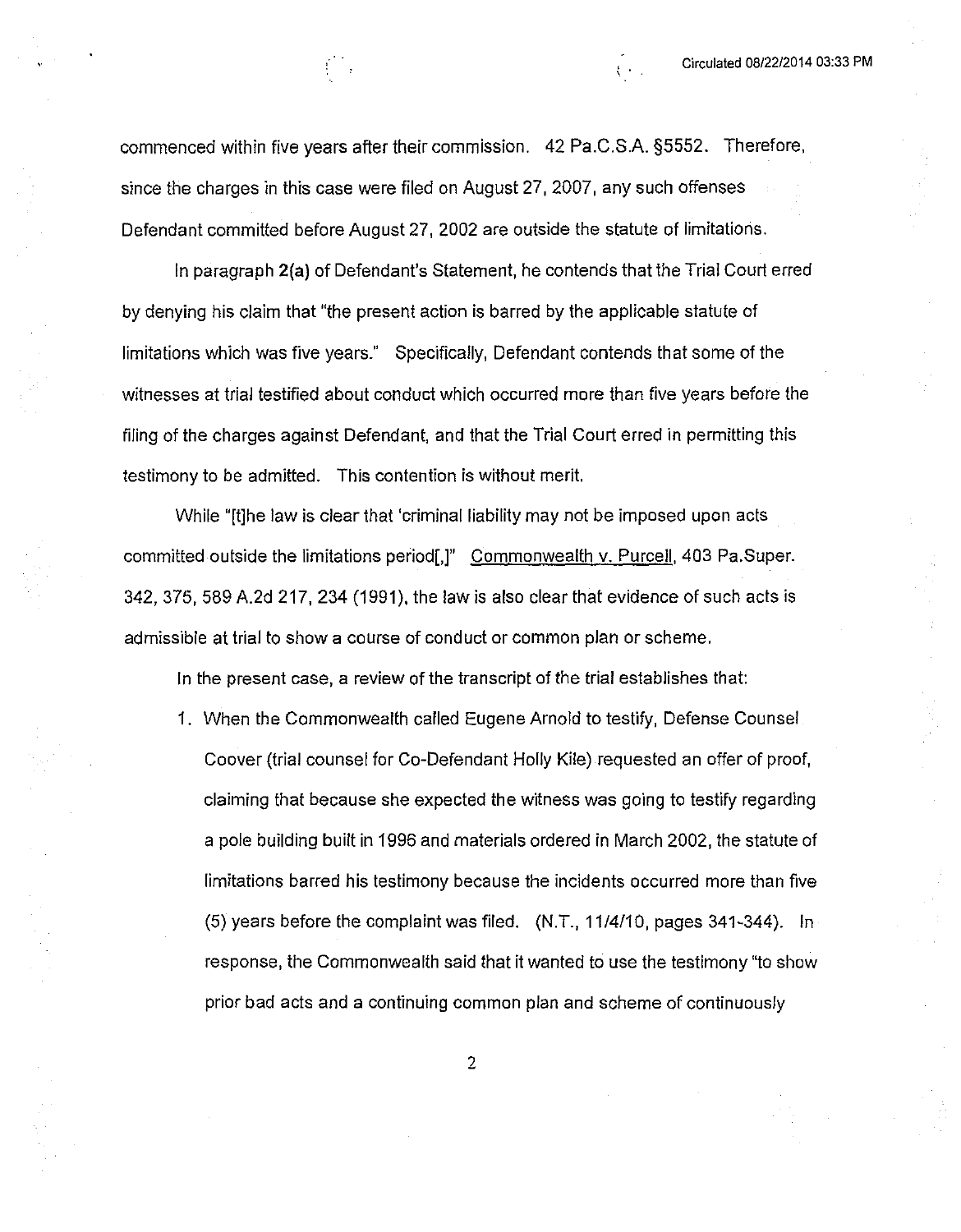commenced within five years after their commission. 42 Pa.C.S.A. §5552. Therefore, since the charges in this case were filed on August 27, 2007, any such offenses Defendant committed before August 27, 2002 are outside the statute of limitations.

In paragraph 2(a) of Defendant's Statement, he contends that the Trial Court erred by denying his claim that "the present action is barred by the applicable statute of limitations which was five years." Specifically, Defendant contends that some of the witnesses at trial testified about conduct which occurred more than five years before the filing of the charges against Defendant, and that the Trial Court erred in permitting this testimony to be admitted. This contention is without merit.

While "[t]he law is clear that 'criminal liability may not be imposed upon acts committed outside the limitations period[,]" Commonwealth v. Purcell, 403 Pa.Super. 342, 375, 589 A.2d 217, 234 (1991), the law is also clear that evidence of such acts is admissible at trial to show a course of conduct or common plan or scheme.

In the present case, a review of the transcript of the trial establishes that:

1. When the Commonwealth called Eugene Arnold to testify, Defense Counsel. Coover (trial counsel for Co-Defendant Holly Kile) requested an offer of proof, claiming that because she expected the witness was going to testify regarding a pole building built in 1996 and materials ordered in March 2002, the statute of limitations barred his testimony because the incidents occurred more than five (5) years before the complaint was filed. (N.T., 11/4/10, pages 341-344). In response, the Commonwealth said that it wanted to use the testimony "to show prior bad acts and a continuing common plan and scheme of continuously

 $\overline{2}$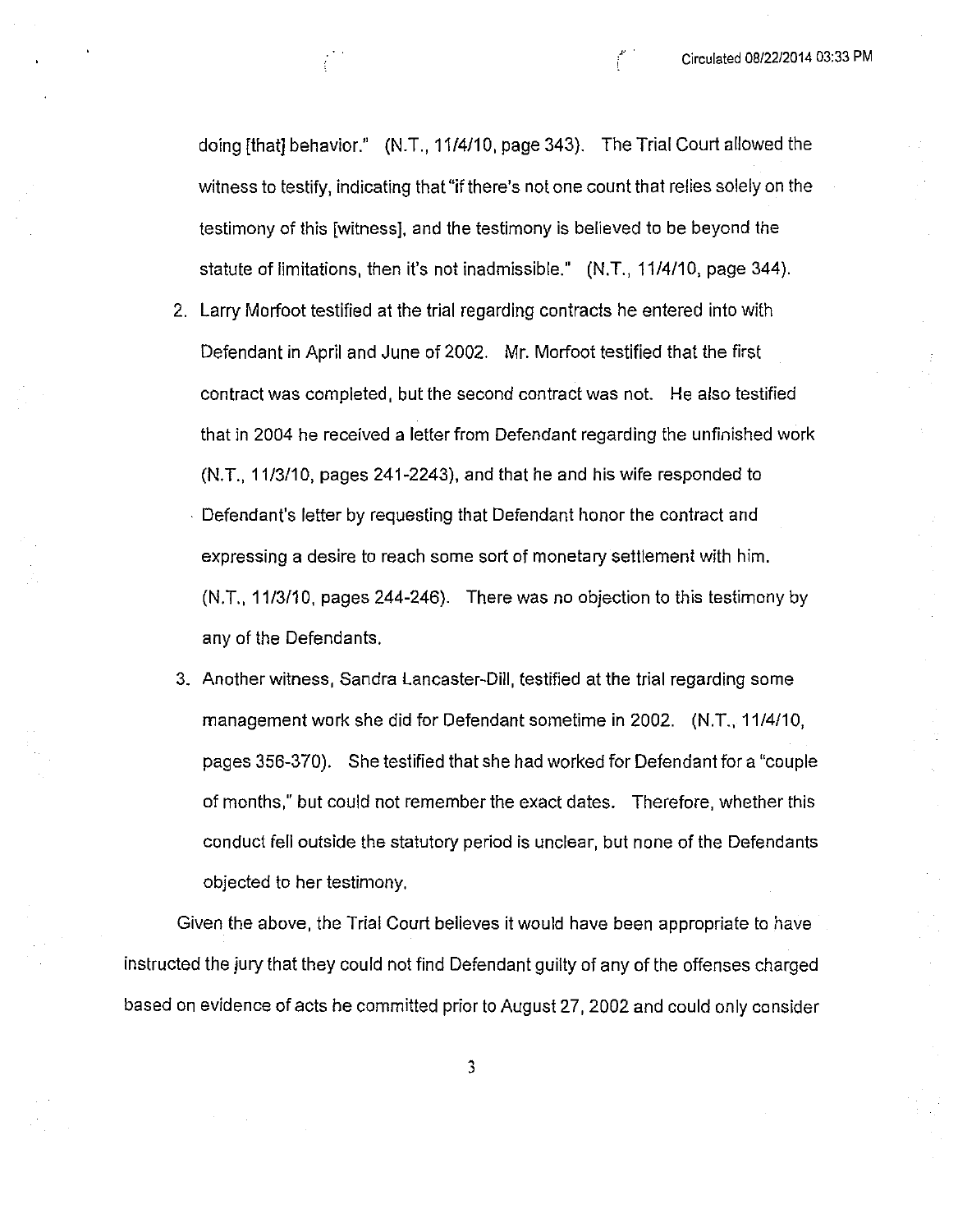doing [that] behavior." (N.T., 11/4/10, page 343). The Trial Court allowed the witness to testify, indicating that "if there's not one count that relies solely on the testimony of this [witness], and the testimony is believed to be beyond the statute of limitations, then it's not inadmissible." (N.T., 11/4/10, page 344).

- 2. Larry Morfoot testified at the trial regarding contracts he entered into with Defendant in April and June of 2002. Mr. Morfoot testified that the first contract was completed, but the second contract was not. He also testified that in 2004 he received a letter from Defendant regarding the unfinished work (N.T., 11/3/10, pages 241-2243), and that he and his wife responded to - Defendant's letter by requesting that Defendant honor the contract and expressing a desire to reach some sort of monetary settlement with him.  $(N.T., 11/3/10,$  pages 244-246). There was no objection to this testimony by any of the Defendants.
- 3. Another witness, Sandra Lancaster-Dill, testified at the trial regarding some management work she did for Defendant sometime in 2002. (N.T., 11/4/10, pages 356-370). She testified that she had worked for Defendant for a "couple" of months," but could not remember the exact dates. Therefore, whether this conduct fell outside the statutory period is unclear, but none of the Defendants objected to her testimony.

Given the above, the Trial Court believes it would have been appropriate to have instructed the jury that they could not find Defendant guilty of any of the offenses charged based on evidence of acts he committed prior to August 27, 2002 and could only consider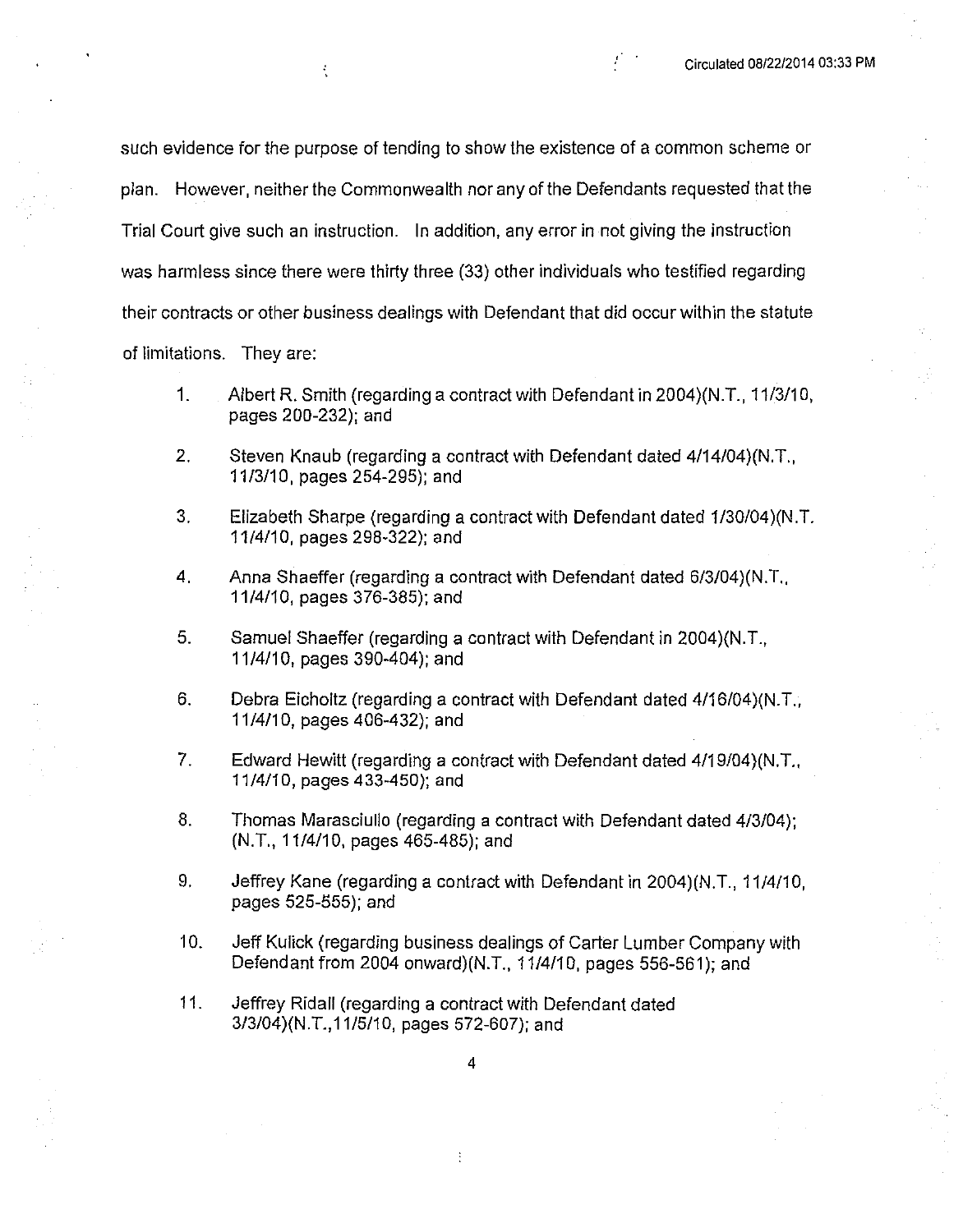such evidence for the purpose of tending to show the existence of a common scheme or plan. However, neither the Commonwealth nor any of the Defendants requested that the Trial Court give such an instruction. In addition, any error in not giving the instruction was harmless since there were thirty three (33) other individuals who testified regarding their contracts or other business dealings with Defendant that did occur within the statute of limitations. They are:

ł,

- 1. Albert R. Smith (regarding a contract with Defendant in 2004)(N.T., 11/3/10, pages 200-232); and
- $2.$ Steven Knaub (regarding a contract with Defendant dated 4/14/04)(N.T., 11/3/10, pages 254-295); and
- $3<sub>1</sub>$ Elizabeth Sharpe (regarding a contract with Defendant dated 1/30/04)(N.T. 11/4/10, pages 298-322); and
- $\mathbf 4$ Anna Shaeffer (regarding a contract with Defendant dated 6/3/04)(N.T. 11/4/10, pages 376-385); and
- $5<sub>1</sub>$ Samuel Shaeffer (regarding a contract with Defendant in 2004)(N.T., 11/4/10, pages 390-404); and
- 6. Debra Eicholtz (regarding a contract with Defendant dated 4/16/04)(N.T.,  $11/4/10$ , pages  $406-432$ ; and
- $7.$ Edward Hewitt (regarding a contract with Defendant dated 4/19/04)(N.T., 11/4/10, pages 433-450); and
- 8. Thomas Marasciullo (regarding a contract with Defendant dated 4/3/04); (N.T., 11/4/10, pages 465-485); and
- 9. Jeffrey Kane (regarding a contract with Defendant in 2004)(N.T., 11/4/10, pages 525-555); and
- 10. Jeff Kulick (regarding business dealings of Carter Lumber Company with Defendant from 2004 onward)(N.T., 11/4/10, pages 556-561); and
- $11.$ Jeffrey Ridall (regarding a contract with Defendant dated 3/3/04)(N.T., 11/5/10, pages 572-607); and

÷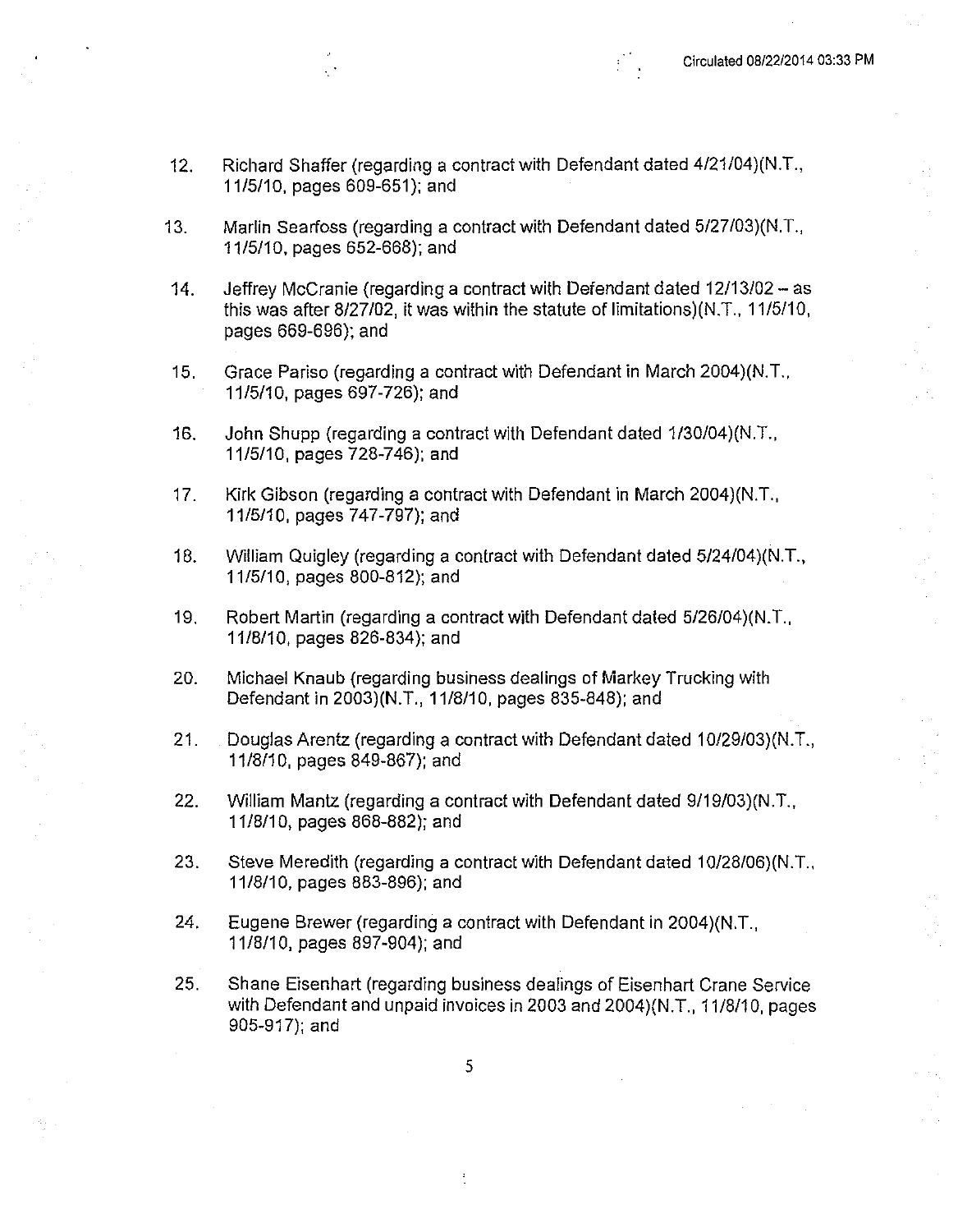- Richard Shaffer (regarding a contract with Defendant dated 4/21/04)(N.T.,  $12.$ 11/5/10, pages 609-651); and
- Marlin Searfoss (regarding a contract with Defendant dated 5/27/03)(N.T.,  $13.$ 11/5/10, pages 652-668); and
- Jeffrey McCranie (regarding a contract with Defendant dated 12/13/02 as  $14.$ this was after 8/27/02, it was within the statute of limitations)(N.T., 11/5/10, pages 669-696); and
- Grace Pariso (regarding a contract with Defendant in March 2004)(N.T.,  $15.$ 11/5/10, pages 697-726); and
- John Shupp (regarding a contract with Defendant dated 1/30/04)(N.T.,  $16.$ 11/5/10, pages 728-746); and
- $17<sub>1</sub>$ Kirk Gibson (regarding a contract with Defendant in March 2004)(N.T., 11/5/10, pages 747-797); and
- William Quigley (regarding a contract with Defendant dated 5/24/04)(N.T., 18. 11/5/10, pages 800-812); and
- $19.$ Robert Martin (regarding a contract with Defendant dated 5/26/04)(N.T. 11/8/10, pages 826-834); and
- 20. Michael Knaub (regarding business dealings of Markey Trucking with Defendant in 2003)(N.T., 11/8/10, pages 835-848); and
- $21.$ Douglas Arentz (regarding a contract with Defendant dated 10/29/03)(N.T., 11/8/10, pages 849-867); and
- $22.$ William Mantz (regarding a contract with Defendant dated 9/19/03)(N.T., 11/8/10, pages 868-882); and
- 23. Steve Meredith (regarding a contract with Defendant dated 10/28/06)(N.T., 11/8/10, pages 883-896); and
- 24. Eugene Brewer (regarding a contract with Defendant in 2004)(N.T. 11/8/10, pages 897-904); and
- $25.$ Shane Eisenhart (regarding business dealings of Eisenhart Crane Service with Defendant and unpaid invoices in 2003 and 2004)(N.T., 11/8/10, pages 905-917); and

5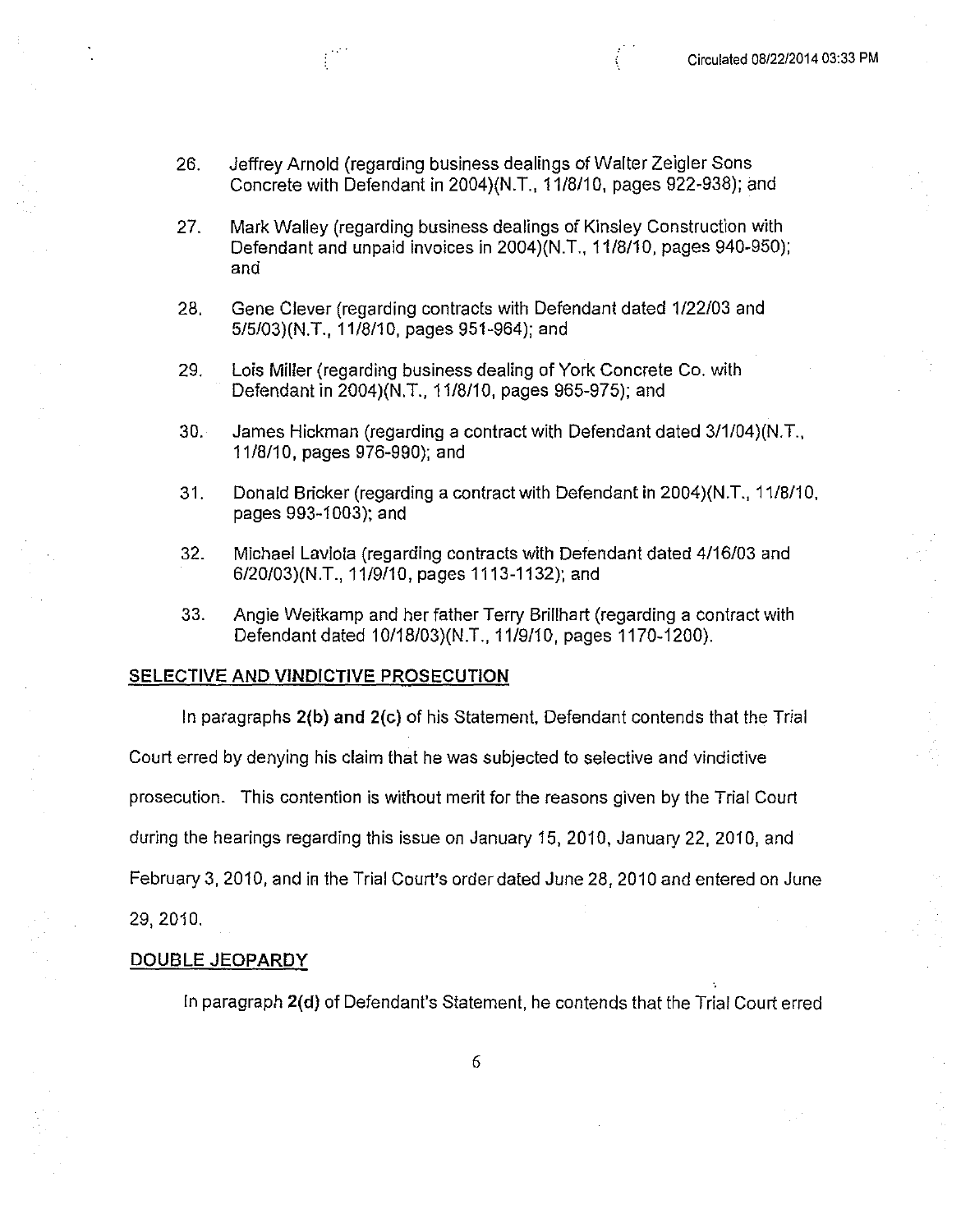- 26. Jeffrey Arnold (regarding business dealings of Walter Zeigler Sons Concrete with Defendant in 2004)(N.T., 11/8/10, pages 922-938); and
- 27. Mark Walley (regarding business dealings of Kinsley Construction with Defendant and unpaid invoices in 2004)(N.T., 11/8/10, pages 940-950); and
- 28. Gene Clever (regarding contracts with Defendant dated 1/22/03 and 5/5/03)(N.T., 11/8/10, pages 951-964); and
- 29. Lois Miller (regarding business dealing of York Concrete Co. with Defendant in 2004)(N.T., 11/8/10, pages 965-975); and
- James Hickman (regarding a contract with Defendant dated 3/1/04)(N.T.,  $30.$ 11/8/10, pages 976-990); and
- $31.$ Donald Bricker (regarding a contract with Defendant in 2004)(N.T., 11/8/10, pages 993-1003); and
- $32.$ Michael Laviola (regarding contracts with Defendant dated 4/16/03 and 6/20/03)(N.T., 11/9/10, pages 1113-1132); and
- 33. Angle Weitkamp and her father Terry Brillhart (regarding a contract with Defendant dated 10/18/03)(N.T., 11/9/10, pages 1170-1200).

#### **SELECTIVE AND VINDICTIVE PROSECUTION**

In paragraphs 2(b) and 2(c) of his Statement. Defendant contends that the Trial Court erred by denying his claim that he was subjected to selective and vindictive prosecution. This contention is without merit for the reasons given by the Trial Court during the hearings regarding this issue on January 15, 2010, January 22, 2010, and February 3, 2010, and in the Trial Court's order dated June 28, 2010 and entered on June

29, 2010,

### DOUBLE JEOPARDY

In paragraph 2(d) of Defendant's Statement, he contends that the Trial Court erred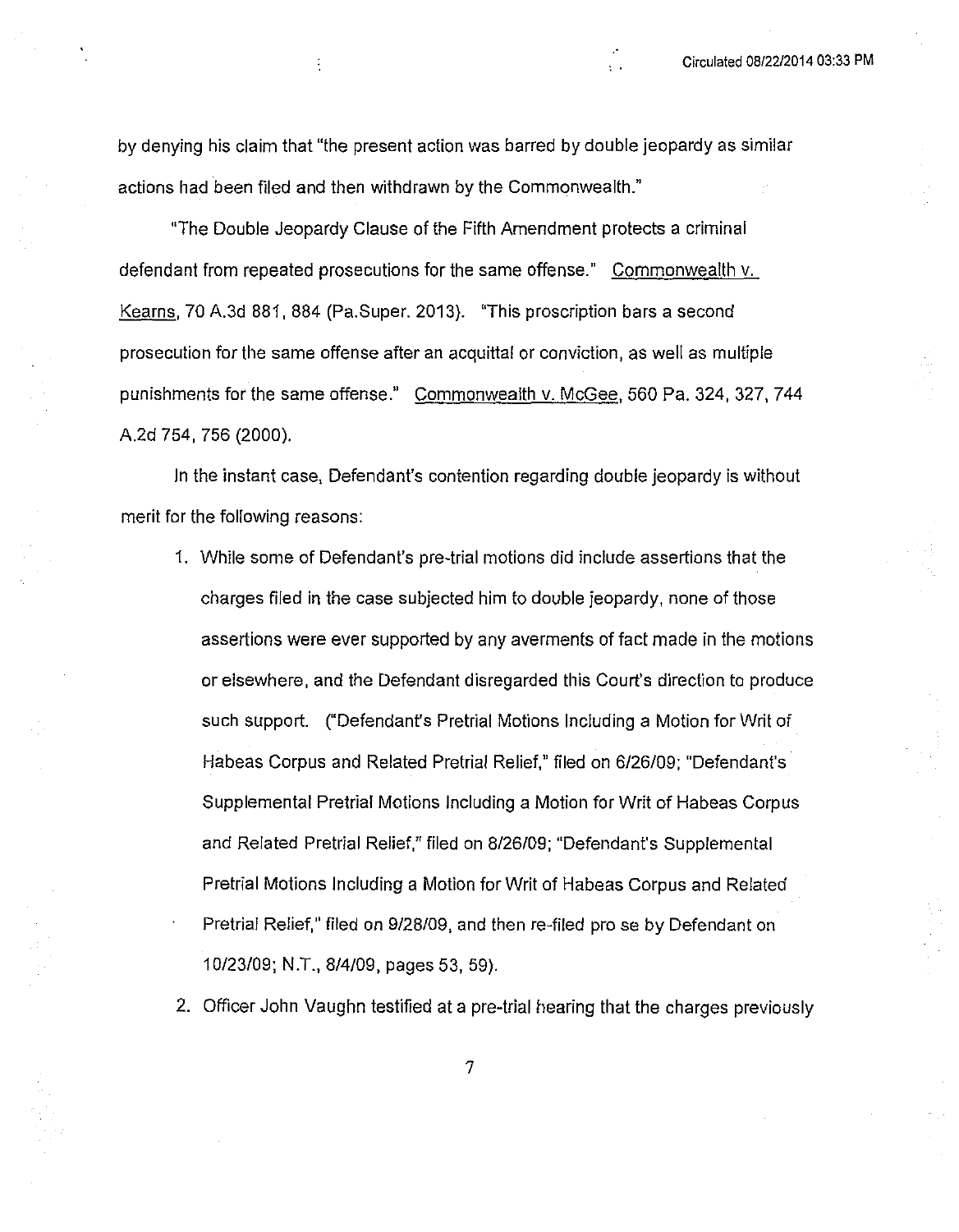by denying his claim that "the present action was barred by double jeopardy as similar actions had been filed and then withdrawn by the Commonwealth."

÷

"The Double Jeopardy Clause of the Fifth Amendment protects a criminal defendant from repeated prosecutions for the same offense." Commonwealth v. Kearns, 70 A.3d 881, 884 (Pa.Super. 2013). "This proscription bars a second prosecution for the same offense after an acquittal or conviction, as well as multiple punishments for the same offense." Commonwealth v. McGee, 560 Pa. 324, 327, 744 A.2d 754, 756 (2000).

In the instant case, Defendant's contention regarding double jeopardy is without merit for the following reasons:

- 1. While some of Defendant's pre-trial motions did include assertions that the charges filed in the case subjected him to double jeopardy, none of those assertions were ever supported by any averments of fact made in the motions or elsewhere, and the Defendant disregarded this Court's direction to produce such support. ("Defendant's Pretrial Motions Including a Motion for Writ of Habeas Corpus and Related Pretrial Relief," filed on 6/26/09; "Defendant's Supplemental Pretrial Motions Including a Motion for Writ of Habeas Corpus and Related Pretrial Relief," filed on 8/26/09; "Defendant's Supplemental Pretrial Motions Including a Motion for Writ of Habeas Corpus and Related Pretrial Relief," filed on 9/28/09, and then re-filed pro se by Defendant on 10/23/09; N.T., 8/4/09, pages 53, 59).
- 2. Officer John Vaughn testified at a pre-trial hearing that the charges previously

 $\overline{7}$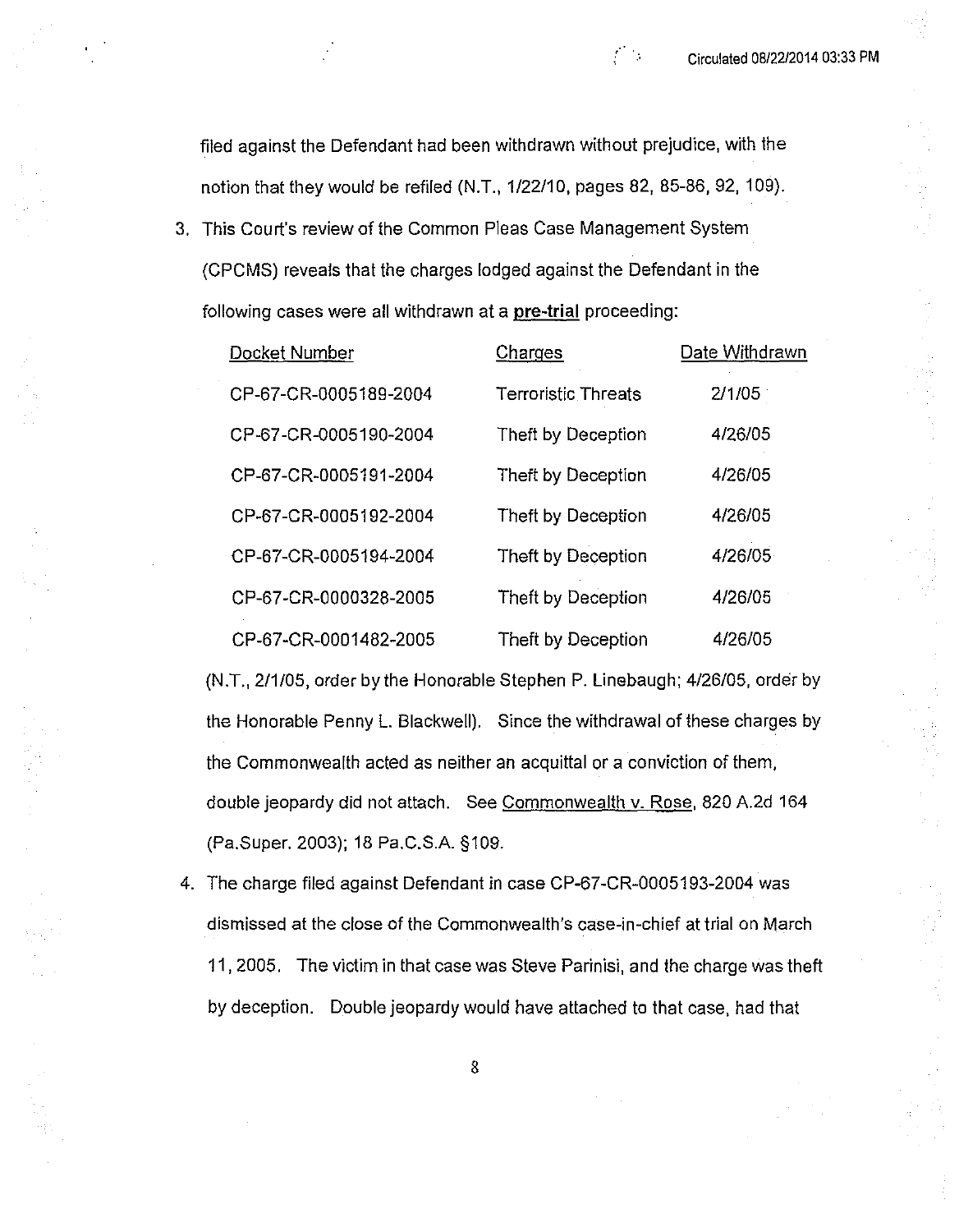- 5

filed against the Defendant had been withdrawn without prejudice, with the notion that they would be refiled (N.T., 1/22/10, pages 82, 85-86, 92, 109).

3. This Court's review of the Common Pleas Case Management System (CPCMS) reveals that the charges lodged against the Defendant in the following cases were all withdrawn at a pre-trial proceeding:

| Docket Number         | Charges                    | Date Withdrawn |
|-----------------------|----------------------------|----------------|
| CP-67-CR-0005189-2004 | <b>Terroristic Threats</b> | 2/1/05         |
| CP-67-CR-0005190-2004 | Theft by Deception         | 4/26/05        |
| CP-67-CR-0005191-2004 | Theft by Deception         | 4/26/05        |
| CP-67-CR-0005192-2004 | Theft by Deception         | 4/26/05        |
| CP-67-CR-0005194-2004 | Theft by Deception         | 4/26/05        |
| CP-67-CR-0000328-2005 | Theft by Deception         | 4/26/05        |
| CP-67-CR-0001482-2005 | Theft by Deception         | 4/26/05        |

(N.T., 2/1/05, order by the Honorable Stephen P. Linebaugh; 4/26/05, order by the Honorable Penny L. Blackwell). Since the withdrawal of these charges by the Commonwealth acted as neither an acquittal or a conviction of them, double jeopardy did not attach. See Commonwealth v. Rose, 820 A.2d 164 (Pa.Super. 2003); 18 Pa.C.S.A. §109.

4. The charge filed against Defendant in case CP-67-CR-0005193-2004 was dismissed at the close of the Commonwealth's case-in-chief at trial on March 11, 2005. The victim in that case was Steve Parinisi, and the charge was theft by deception. Double jeopardy would have attached to that case, had that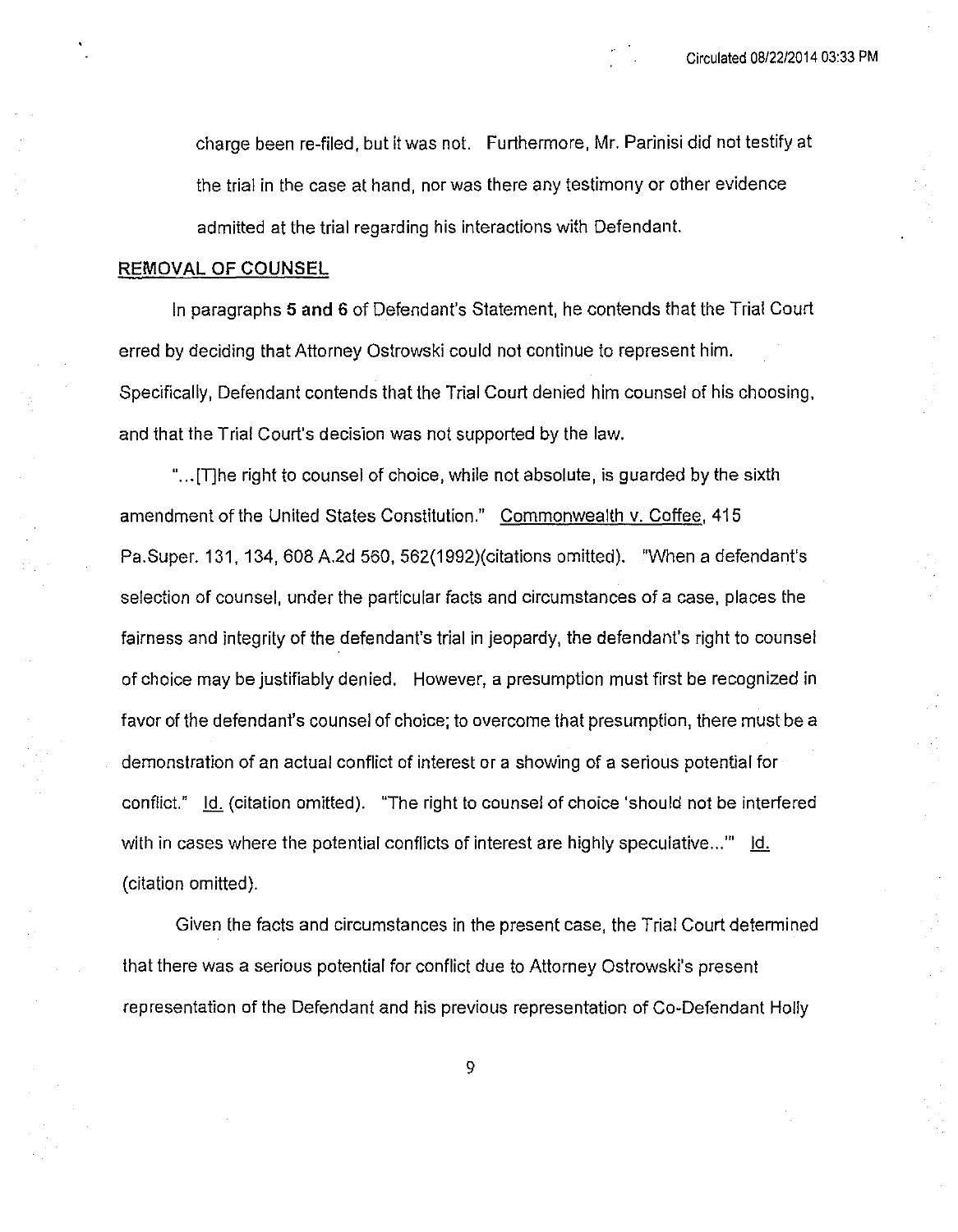charge been re-filed, but it was not. Furthermore, Mr. Parinisi did not testify at the trial in the case at hand, nor was there any testimony or other evidence admitted at the trial regarding his interactions with Defendant.

## REMOVAL OF COUNSEL

In paragraphs 5 and 6 of Defendant's Statement, he contends that the Trial Court erred by deciding that Attorney Ostrowski could not continue to represent him. Specifically, Defendant contends that the Trial Court denied him counsel of his choosing, and that the Trial Court's decision was not supported by the law.

"... [The right to counsel of choice, while not absolute, is guarded by the sixth amendment of the United States Constitution." Commonwealth v. Coffee, 415 Pa.Super. 131, 134, 608 A.2d 560, 562(1992)(citations omitted). "When a defendant's selection of counsel, under the particular facts and circumstances of a case, places the fairness and integrity of the defendant's trial in jeopardy, the defendant's right to counsel of choice may be justifiably denied. However, a presumption must first be recognized in favor of the defendant's counsel of choice; to overcome that presumption, there must be a demonstration of an actual conflict of interest or a showing of a serious potential for conflict." Id. (citation omitted). "The right to counsel of choice 'should not be interfered with in cases where the potential conflicts of interest are highly speculative..." Id. (citation omitted).

Given the facts and circumstances in the present case, the Trial Court determined that there was a serious potential for conflict due to Attorney Ostrowski's present representation of the Defendant and his previous representation of Co-Defendant Holly

9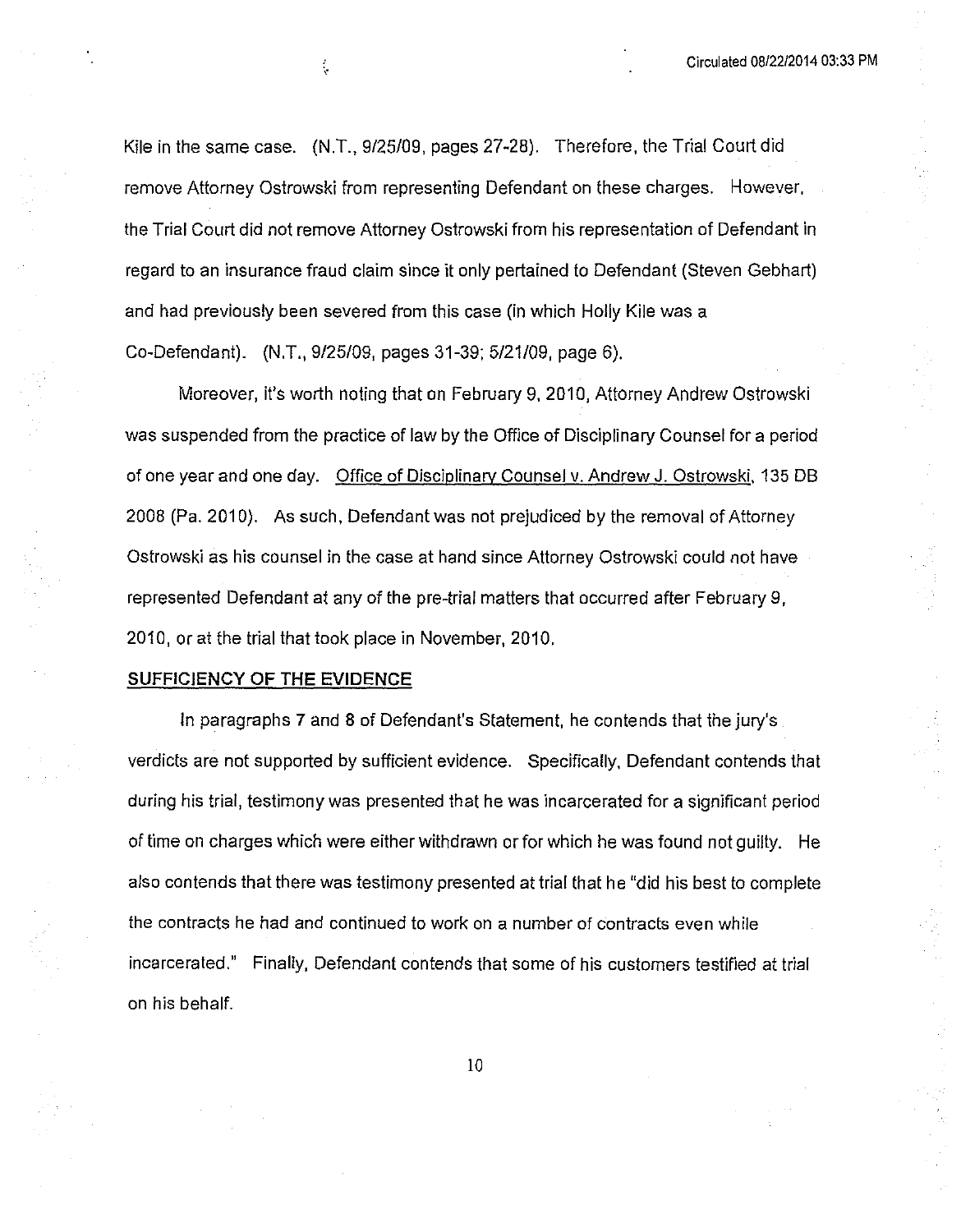Kile in the same case. (N.T., 9/25/09, pages 27-28). Therefore, the Trial Court did remove Attorney Ostrowski from representing Defendant on these charges. However, the Trial Court did not remove Attorney Ostrowski from his representation of Defendant in regard to an insurance fraud claim since it only pertained to Defendant (Steven Gebhart) and had previously been severed from this case (in which Holly Kile was a Co-Defendant). (N.T., 9/25/09, pages 31-39; 5/21/09, page 6).

Moreover, it's worth noting that on February 9, 2010, Attorney Andrew Ostrowski was suspended from the practice of law by the Office of Disciplinary Counsel for a period of one year and one day. Office of Disciplinary Counsel v. Andrew J. Ostrowski, 135 DB 2008 (Pa. 2010). As such, Defendant was not prejudiced by the removal of Attorney Ostrowski as his counsel in the case at hand since Attorney Ostrowski could not have represented Defendant at any of the pre-trial matters that occurred after February 9, 2010, or at the trial that took place in November, 2010.

#### **SUFFICIENCY OF THE EVIDENCE**

 $\frac{1}{\sqrt{2}}$ 

In paragraphs 7 and 8 of Defendant's Statement, he contends that the jury's verdicts are not supported by sufficient evidence. Specifically, Defendant contends that during his trial, testimony was presented that he was incarcerated for a significant period of time on charges which were either withdrawn or for which he was found not guilty. He also contends that there was testimony presented at trial that he "did his best to complete the contracts he had and continued to work on a number of contracts even while incarcerated." Finally, Defendant contends that some of his customers testified at trial on his behalf.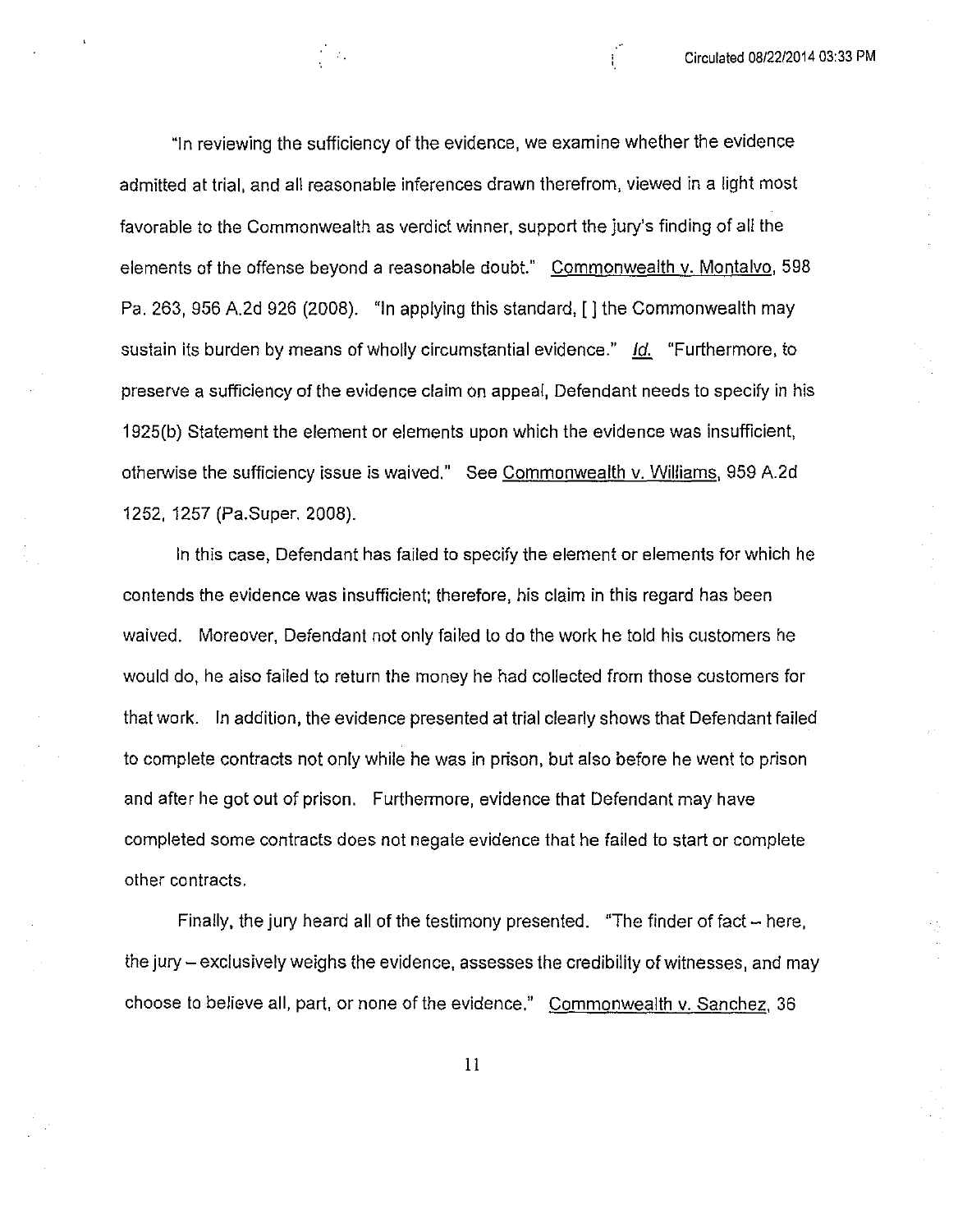"In reviewing the sufficiency of the evidence, we examine whether the evidence admitted at trial, and all reasonable inferences drawn therefrom, viewed in a light most favorable to the Commonwealth as verdict winner, support the jury's finding of all the elements of the offense beyond a reasonable doubt." Commonwealth v. Montalvo, 598 Pa. 263, 956 A.2d 926 (2008). "In applying this standard, [] the Commonwealth may sustain its burden by means of wholly circumstantial evidence." Id. "Furthermore, to preserve a sufficiency of the evidence claim on appeal, Defendant needs to specify in his 1925(b) Statement the element or elements upon which the evidence was insufficient, otherwise the sufficiency issue is waived." See Commonwealth v. Williams, 959 A.2d 1252, 1257 (Pa.Super, 2008).

 $\sim 1$ 

In this case, Defendant has failed to specify the element or elements for which he contends the evidence was insufficient; therefore, his claim in this regard has been waived. Moreover, Defendant not only failed to do the work he told his customers he would do, he also failed to return the money he had collected from those customers for that work. In addition, the evidence presented at trial clearly shows that Defendant failed to complete contracts not only while he was in prison, but also before he went to prison and after he got out of prison. Furthermore, evidence that Defendant may have completed some contracts does not negate evidence that he failed to start or complete other contracts.

Finally, the jury heard all of the testimony presented. "The finder of fact - here, the jury – exclusively weighs the evidence, assesses the credibility of witnesses, and may choose to believe all, part, or none of the evidence." Commonwealth v. Sanchez, 36

 $11$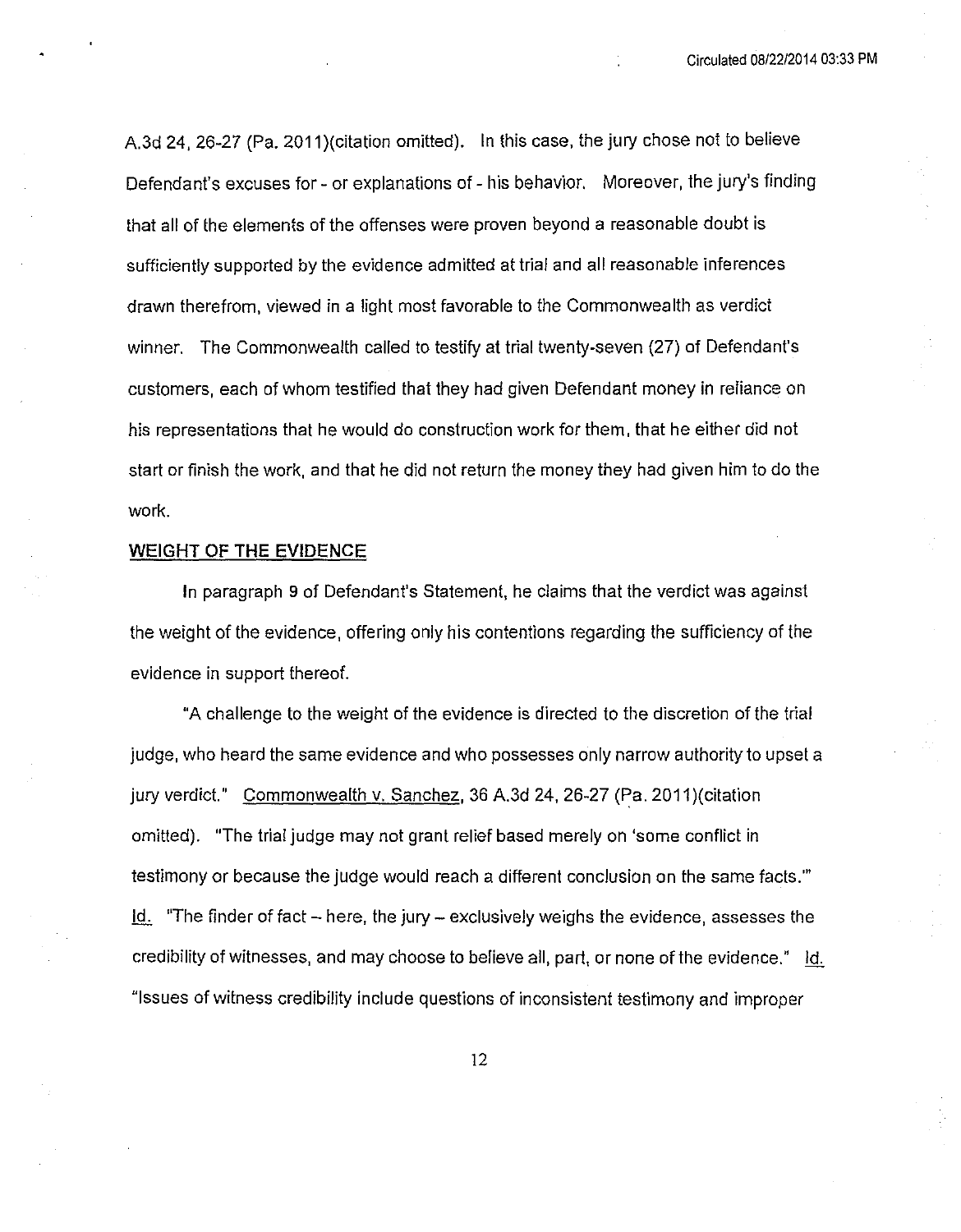A.3d 24, 26-27 (Pa. 2011)(citation omitted). In this case, the jury chose not to believe Defendant's excuses for - or explanations of - his behavior. Moreover, the jury's finding that all of the elements of the offenses were proven beyond a reasonable doubt is sufficiently supported by the evidence admitted at trial and all reasonable inferences drawn therefrom, viewed in a light most favorable to the Commonwealth as verdict winner, The Commonwealth called to testify at trial twenty-seven (27) of Defendant's customers, each of whom testified that they had given Defendant money in reliance on his representations that he would do construction work for them, that he either did not start or finish the work, and that he did not return the money they had given him to do the work.

## **WEIGHT OF THE EVIDENCE**

In paragraph 9 of Defendant's Statement, he claims that the verdict was against the weight of the evidence, offering only his contentions regarding the sufficiency of the evidence in support thereof.

"A challenge to the weight of the evidence is directed to the discretion of the trial judge, who heard the same evidence and who possesses only narrow authority to upset a jury verdict." Commonwealth v. Sanchez, 36 A.3d 24, 26-27 (Pa. 2011) (citation omitted). "The trial judge may not grant relief based merely on 'some conflict in testimony or because the judge would reach a different conclusion on the same facts."  $\underline{\mathsf{Id}}$  "The finder of fact – here, the jury – exclusively weighs the evidence, assesses the credibility of witnesses, and may choose to believe all, part, or none of the evidence." Id. "Issues of witness credibility include questions of inconsistent testimony and improper

12